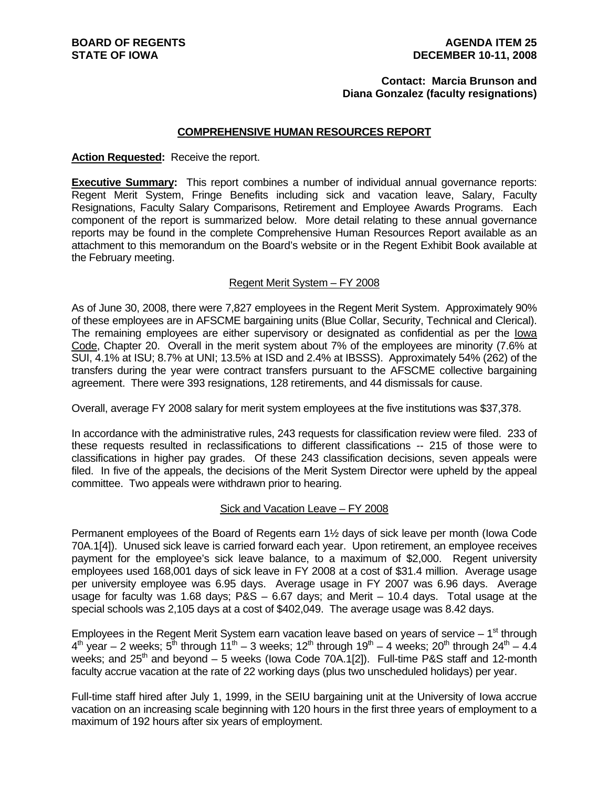### **Contact: Marcia Brunson and Diana Gonzalez (faculty resignations)**

### **COMPREHENSIVE HUMAN RESOURCES REPORT**

### **Action Requested:** Receive the report.

**Executive Summary:** This report combines a number of individual annual governance reports: Regent Merit System, Fringe Benefits including sick and vacation leave, Salary, Faculty Resignations, Faculty Salary Comparisons, Retirement and Employee Awards Programs. Each component of the report is summarized below. More detail relating to these annual governance reports may be found in the complete Comprehensive Human Resources Report available as an attachment to this memorandum on the Board's website or in the Regent Exhibit Book available at the February meeting.

### Regent Merit System – FY 2008

As of June 30, 2008, there were 7,827 employees in the Regent Merit System. Approximately 90% of these employees are in AFSCME bargaining units (Blue Collar, Security, Technical and Clerical). The remaining employees are either supervisory or designated as confidential as per the Iowa Code, Chapter 20. Overall in the merit system about 7% of the employees are minority (7.6% at SUI, 4.1% at ISU; 8.7% at UNI; 13.5% at ISD and 2.4% at IBSSS). Approximately 54% (262) of the transfers during the year were contract transfers pursuant to the AFSCME collective bargaining agreement. There were 393 resignations, 128 retirements, and 44 dismissals for cause.

Overall, average FY 2008 salary for merit system employees at the five institutions was \$37,378.

In accordance with the administrative rules, 243 requests for classification review were filed. 233 of these requests resulted in reclassifications to different classifications -- 215 of those were to classifications in higher pay grades. Of these 243 classification decisions, seven appeals were filed. In five of the appeals, the decisions of the Merit System Director were upheld by the appeal committee. Two appeals were withdrawn prior to hearing.

### Sick and Vacation Leave – FY 2008

Permanent employees of the Board of Regents earn 1½ days of sick leave per month (Iowa Code 70A.1[4]). Unused sick leave is carried forward each year. Upon retirement, an employee receives payment for the employee's sick leave balance, to a maximum of \$2,000. Regent university employees used 168,001 days of sick leave in FY 2008 at a cost of \$31.4 million. Average usage per university employee was 6.95 days. Average usage in FY 2007 was 6.96 days. Average usage for faculty was 1.68 days; P&S – 6.67 days; and Merit – 10.4 days. Total usage at the special schools was 2,105 days at a cost of \$402,049. The average usage was 8.42 days.

Employees in the Regent Merit System earn vacation leave based on years of service  $-1<sup>st</sup>$  through  $4<sup>th</sup>$  year – 2 weeks;  $5<sup>th</sup>$  through  $11<sup>th</sup>$  – 3 weeks;  $12<sup>th</sup>$  through  $19<sup>th</sup>$  – 4 weeks;  $20<sup>th</sup>$  through  $24<sup>th</sup>$  – 4.4 weeks; and  $25<sup>th</sup>$  and beyond  $-5$  weeks (lowa Code 70A.1[2]). Full-time P&S staff and 12-month faculty accrue vacation at the rate of 22 working days (plus two unscheduled holidays) per year.

Full-time staff hired after July 1, 1999, in the SEIU bargaining unit at the University of Iowa accrue vacation on an increasing scale beginning with 120 hours in the first three years of employment to a maximum of 192 hours after six years of employment.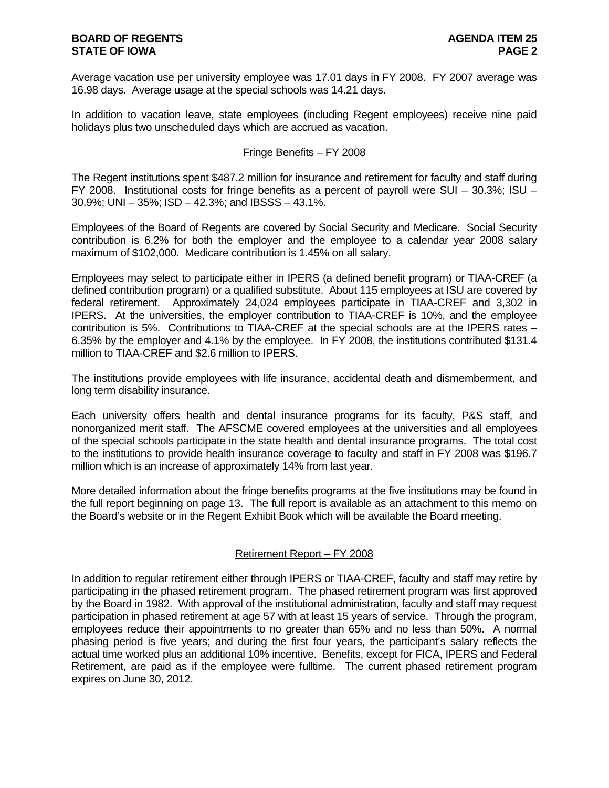Average vacation use per university employee was 17.01 days in FY 2008. FY 2007 average was 16.98 days. Average usage at the special schools was 14.21 days.

In addition to vacation leave, state employees (including Regent employees) receive nine paid holidays plus two unscheduled days which are accrued as vacation.

### Fringe Benefits – FY 2008

The Regent institutions spent \$487.2 million for insurance and retirement for faculty and staff during FY 2008. Institutional costs for fringe benefits as a percent of payroll were SUI – 30.3%; ISU – 30.9%; UNI – 35%; ISD – 42.3%; and IBSSS – 43.1%.

Employees of the Board of Regents are covered by Social Security and Medicare. Social Security contribution is 6.2% for both the employer and the employee to a calendar year 2008 salary maximum of \$102,000. Medicare contribution is 1.45% on all salary.

Employees may select to participate either in IPERS (a defined benefit program) or TIAA-CREF (a defined contribution program) or a qualified substitute. About 115 employees at ISU are covered by federal retirement. Approximately 24,024 employees participate in TIAA-CREF and 3,302 in IPERS. At the universities, the employer contribution to TIAA-CREF is 10%, and the employee contribution is 5%. Contributions to TIAA-CREF at the special schools are at the IPERS rates – 6.35% by the employer and 4.1% by the employee. In FY 2008, the institutions contributed \$131.4 million to TIAA-CREF and \$2.6 million to IPERS.

The institutions provide employees with life insurance, accidental death and dismemberment, and long term disability insurance.

Each university offers health and dental insurance programs for its faculty, P&S staff, and nonorganized merit staff. The AFSCME covered employees at the universities and all employees of the special schools participate in the state health and dental insurance programs. The total cost to the institutions to provide health insurance coverage to faculty and staff in FY 2008 was \$196.7 million which is an increase of approximately 14% from last year.

More detailed information about the fringe benefits programs at the five institutions may be found in the full report beginning on page 13. The full report is available as an attachment to this memo on the Board's website or in the Regent Exhibit Book which will be available the Board meeting.

### Retirement Report – FY 2008

In addition to regular retirement either through IPERS or TIAA-CREF, faculty and staff may retire by participating in the phased retirement program. The phased retirement program was first approved by the Board in 1982. With approval of the institutional administration, faculty and staff may request participation in phased retirement at age 57 with at least 15 years of service. Through the program, employees reduce their appointments to no greater than 65% and no less than 50%. A normal phasing period is five years; and during the first four years, the participant's salary reflects the actual time worked plus an additional 10% incentive. Benefits, except for FICA, IPERS and Federal Retirement, are paid as if the employee were fulltime. The current phased retirement program expires on June 30, 2012.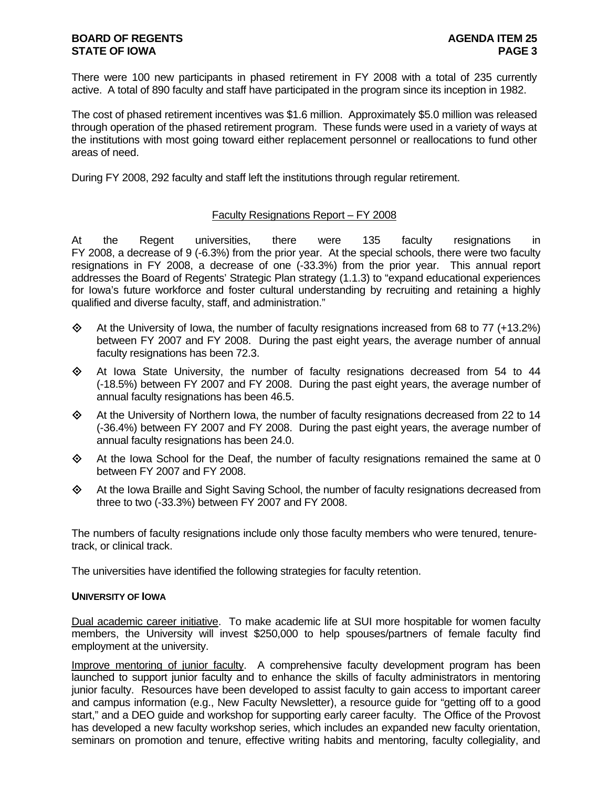There were 100 new participants in phased retirement in FY 2008 with a total of 235 currently active. A total of 890 faculty and staff have participated in the program since its inception in 1982.

The cost of phased retirement incentives was \$1.6 million. Approximately \$5.0 million was released through operation of the phased retirement program. These funds were used in a variety of ways at the institutions with most going toward either replacement personnel or reallocations to fund other areas of need.

During FY 2008, 292 faculty and staff left the institutions through regular retirement.

### Faculty Resignations Report – FY 2008

At the Regent universities, there were 135 faculty resignations in FY 2008, a decrease of 9 (-6.3%) from the prior year. At the special schools, there were two faculty resignations in FY 2008, a decrease of one (-33.3%) from the prior year. This annual report addresses the Board of Regents' Strategic Plan strategy (1.1.3) to "expand educational experiences for Iowa's future workforce and foster cultural understanding by recruiting and retaining a highly qualified and diverse faculty, staff, and administration."

- $\Diamond$  At the University of Iowa, the number of faculty resignations increased from 68 to 77 (+13.2%) between FY 2007 and FY 2008. During the past eight years, the average number of annual faculty resignations has been 72.3.
- At Iowa State University, the number of faculty resignations decreased from 54 to 44 (-18.5%) between FY 2007 and FY 2008. During the past eight years, the average number of annual faculty resignations has been 46.5.
- $\Leftrightarrow$  At the University of Northern Iowa, the number of faculty resignations decreased from 22 to 14 (-36.4%) between FY 2007 and FY 2008. During the past eight years, the average number of annual faculty resignations has been 24.0.
- $\Leftrightarrow$  At the Iowa School for the Deaf, the number of faculty resignations remained the same at 0 between FY 2007 and FY 2008.
- At the Iowa Braille and Sight Saving School, the number of faculty resignations decreased from three to two (-33.3%) between FY 2007 and FY 2008.

The numbers of faculty resignations include only those faculty members who were tenured, tenuretrack, or clinical track.

The universities have identified the following strategies for faculty retention.

### **UNIVERSITY OF IOWA**

Dual academic career initiative. To make academic life at SUI more hospitable for women faculty members, the University will invest \$250,000 to help spouses/partners of female faculty find employment at the university.

Improve mentoring of junior faculty. A comprehensive faculty development program has been launched to support junior faculty and to enhance the skills of faculty administrators in mentoring junior faculty. Resources have been developed to assist faculty to gain access to important career and campus information (e.g., New Faculty Newsletter), a resource guide for "getting off to a good start," and a DEO guide and workshop for supporting early career faculty. The Office of the Provost has developed a new faculty workshop series, which includes an expanded new faculty orientation, seminars on promotion and tenure, effective writing habits and mentoring, faculty collegiality, and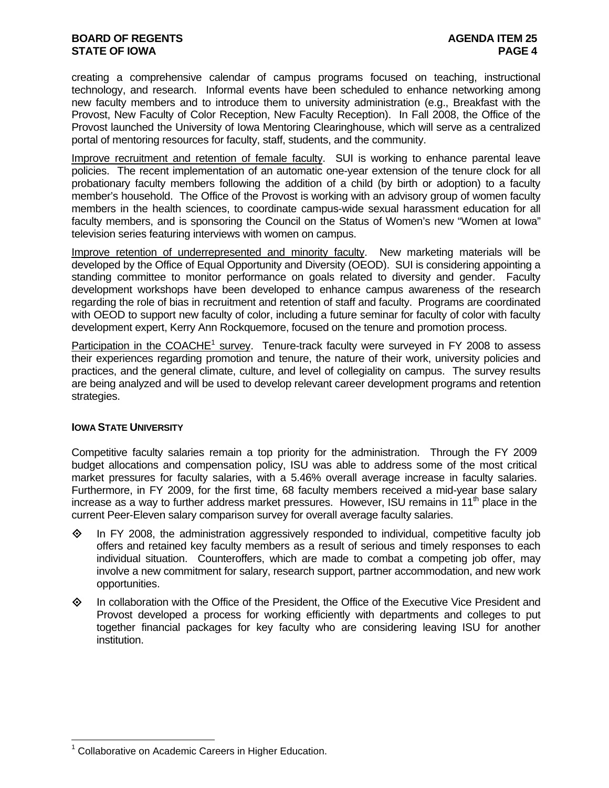### **BOARD OF REGENTS AGENUS AGENDA ITEM 25 STATE OF IOWA** PAGE 4

creating a comprehensive calendar of campus programs focused on teaching, instructional technology, and research. Informal events have been scheduled to enhance networking among new faculty members and to introduce them to university administration (e.g., Breakfast with the Provost, New Faculty of Color Reception, New Faculty Reception). In Fall 2008, the Office of the Provost launched the University of Iowa Mentoring Clearinghouse, which will serve as a centralized portal of mentoring resources for faculty, staff, students, and the community.

Improve recruitment and retention of female faculty. SUI is working to enhance parental leave policies. The recent implementation of an automatic one-year extension of the tenure clock for all probationary faculty members following the addition of a child (by birth or adoption) to a faculty member's household. The Office of the Provost is working with an advisory group of women faculty members in the health sciences, to coordinate campus-wide sexual harassment education for all faculty members, and is sponsoring the Council on the Status of Women's new "Women at Iowa" television series featuring interviews with women on campus.

Improve retention of underrepresented and minority faculty. New marketing materials will be developed by the Office of Equal Opportunity and Diversity (OEOD). SUI is considering appointing a standing committee to monitor performance on goals related to diversity and gender. Faculty development workshops have been developed to enhance campus awareness of the research regarding the role of bias in recruitment and retention of staff and faculty. Programs are coordinated with OEOD to support new faculty of color, including a future seminar for faculty of color with faculty development expert, Kerry Ann Rockquemore, focused on the tenure and promotion process.

Participation in the COACHE<sup>1</sup> survey. Tenure-track faculty were surveyed in FY 2008 to assess their experiences regarding promotion and tenure, the nature of their work, university policies and practices, and the general climate, culture, and level of collegiality on campus. The survey results are being analyzed and will be used to develop relevant career development programs and retention strategies.

### **IOWA STATE UNIVERSITY**

 $\overline{a}$ 

Competitive faculty salaries remain a top priority for the administration. Through the FY 2009 budget allocations and compensation policy, ISU was able to address some of the most critical market pressures for faculty salaries, with a 5.46% overall average increase in faculty salaries. Furthermore, in FY 2009, for the first time, 68 faculty members received a mid-year base salary increase as a way to further address market pressures. However, ISU remains in 11<sup>th</sup> place in the current Peer-Eleven salary comparison survey for overall average faculty salaries.

- $\diamond$  In FY 2008, the administration aggressively responded to individual, competitive faculty job offers and retained key faculty members as a result of serious and timely responses to each individual situation. Counteroffers, which are made to combat a competing job offer, may involve a new commitment for salary, research support, partner accommodation, and new work opportunities.
- In collaboration with the Office of the President, the Office of the Executive Vice President and Provost developed a process for working efficiently with departments and colleges to put together financial packages for key faculty who are considering leaving ISU for another institution.

<sup>&</sup>lt;sup>1</sup> Collaborative on Academic Careers in Higher Education.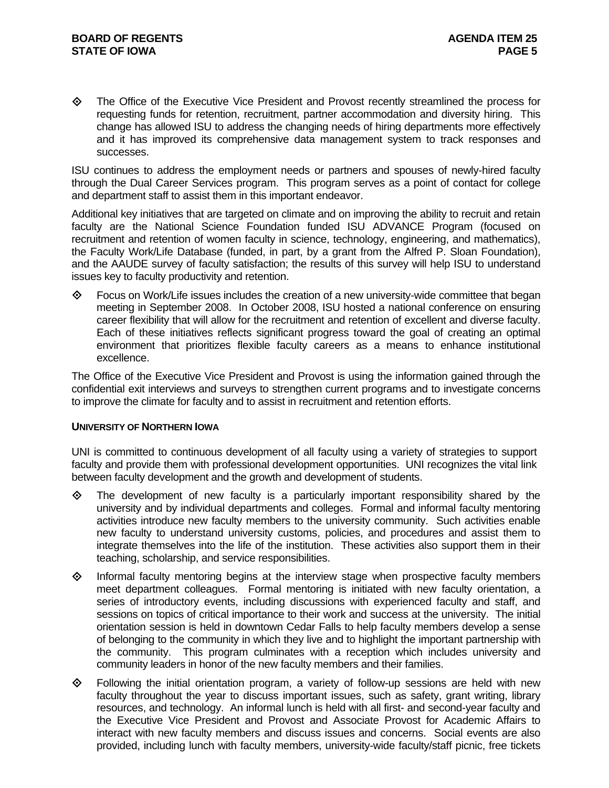The Office of the Executive Vice President and Provost recently streamlined the process for requesting funds for retention, recruitment, partner accommodation and diversity hiring. This change has allowed ISU to address the changing needs of hiring departments more effectively and it has improved its comprehensive data management system to track responses and successes.

ISU continues to address the employment needs or partners and spouses of newly-hired faculty through the Dual Career Services program. This program serves as a point of contact for college and department staff to assist them in this important endeavor.

Additional key initiatives that are targeted on climate and on improving the ability to recruit and retain faculty are the National Science Foundation funded ISU ADVANCE Program (focused on recruitment and retention of women faculty in science, technology, engineering, and mathematics), the Faculty Work/Life Database (funded, in part, by a grant from the Alfred P. Sloan Foundation), and the AAUDE survey of faculty satisfaction; the results of this survey will help ISU to understand issues key to faculty productivity and retention.

 Focus on Work/Life issues includes the creation of a new university-wide committee that began meeting in September 2008. In October 2008, ISU hosted a national conference on ensuring career flexibility that will allow for the recruitment and retention of excellent and diverse faculty. Each of these initiatives reflects significant progress toward the goal of creating an optimal environment that prioritizes flexible faculty careers as a means to enhance institutional excellence.

The Office of the Executive Vice President and Provost is using the information gained through the confidential exit interviews and surveys to strengthen current programs and to investigate concerns to improve the climate for faculty and to assist in recruitment and retention efforts.

### **UNIVERSITY OF NORTHERN IOWA**

UNI is committed to continuous development of all faculty using a variety of strategies to support faculty and provide them with professional development opportunities. UNI recognizes the vital link between faculty development and the growth and development of students.

- $\Leftrightarrow$  The development of new faculty is a particularly important responsibility shared by the university and by individual departments and colleges. Formal and informal faculty mentoring activities introduce new faculty members to the university community. Such activities enable new faculty to understand university customs, policies, and procedures and assist them to integrate themselves into the life of the institution. These activities also support them in their teaching, scholarship, and service responsibilities.
- $\Diamond$  Informal faculty mentoring begins at the interview stage when prospective faculty members meet department colleagues. Formal mentoring is initiated with new faculty orientation, a series of introductory events, including discussions with experienced faculty and staff, and sessions on topics of critical importance to their work and success at the university. The initial orientation session is held in downtown Cedar Falls to help faculty members develop a sense of belonging to the community in which they live and to highlight the important partnership with the community. This program culminates with a reception which includes university and community leaders in honor of the new faculty members and their families.
- $\diamond$  Following the initial orientation program, a variety of follow-up sessions are held with new faculty throughout the year to discuss important issues, such as safety, grant writing, library resources, and technology. An informal lunch is held with all first- and second-year faculty and the Executive Vice President and Provost and Associate Provost for Academic Affairs to interact with new faculty members and discuss issues and concerns. Social events are also provided, including lunch with faculty members, university-wide faculty/staff picnic, free tickets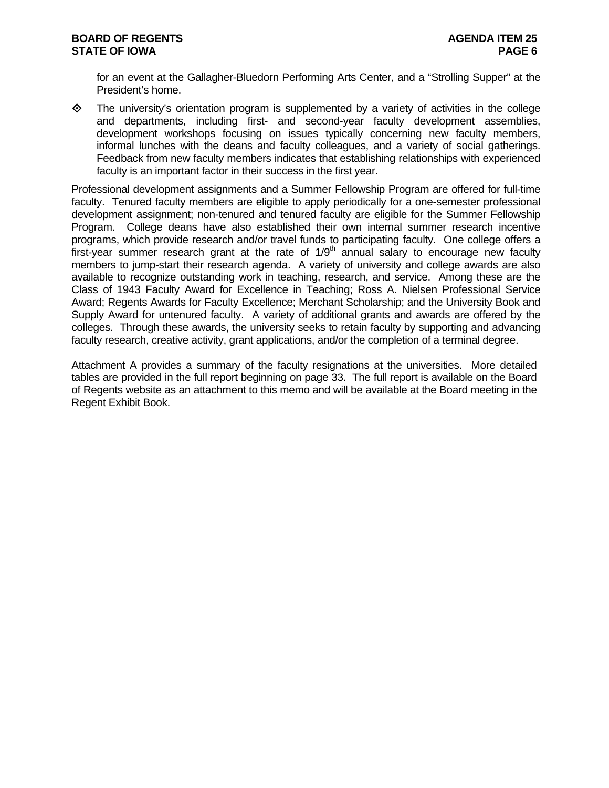for an event at the Gallagher-Bluedorn Performing Arts Center, and a "Strolling Supper" at the President's home.

 $\diamond$  The university's orientation program is supplemented by a variety of activities in the college and departments, including first- and second-year faculty development assemblies, development workshops focusing on issues typically concerning new faculty members, informal lunches with the deans and faculty colleagues, and a variety of social gatherings. Feedback from new faculty members indicates that establishing relationships with experienced faculty is an important factor in their success in the first year.

Professional development assignments and a Summer Fellowship Program are offered for full-time faculty. Tenured faculty members are eligible to apply periodically for a one-semester professional development assignment; non-tenured and tenured faculty are eligible for the Summer Fellowship Program. College deans have also established their own internal summer research incentive programs, which provide research and/or travel funds to participating faculty. One college offers a first-year summer research grant at the rate of  $1/9<sup>th</sup>$  annual salary to encourage new faculty members to jump-start their research agenda. A variety of university and college awards are also available to recognize outstanding work in teaching, research, and service. Among these are the Class of 1943 Faculty Award for Excellence in Teaching; Ross A. Nielsen Professional Service Award; Regents Awards for Faculty Excellence; Merchant Scholarship; and the University Book and Supply Award for untenured faculty. A variety of additional grants and awards are offered by the colleges. Through these awards, the university seeks to retain faculty by supporting and advancing faculty research, creative activity, grant applications, and/or the completion of a terminal degree.

Attachment A provides a summary of the faculty resignations at the universities. More detailed tables are provided in the full report beginning on page 33. The full report is available on the Board of Regents website as an attachment to this memo and will be available at the Board meeting in the Regent Exhibit Book.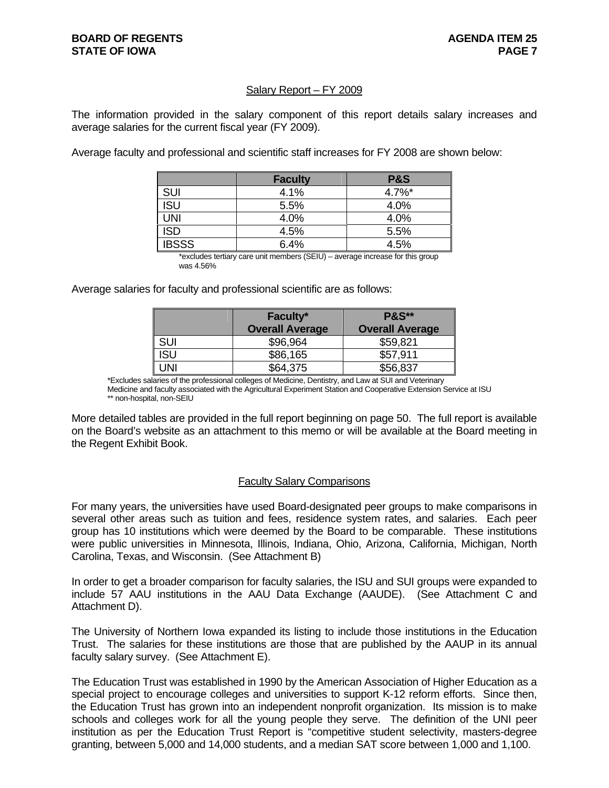### Salary Report – FY 2009

The information provided in the salary component of this report details salary increases and average salaries for the current fiscal year (FY 2009).

Average faculty and professional and scientific staff increases for FY 2008 are shown below:

|              | <b>Faculty</b> | <b>P&amp;S</b> |
|--------------|----------------|----------------|
| <b>SUI</b>   | 4.1%           | $4.7\%$ *      |
| 'SU          | 5.5%           | 4.0%           |
| JNI          | 4.0%           | 4.0%           |
| <b>ISD</b>   | 4.5%           | 5.5%           |
| <b>IBSSS</b> | 6.4%           | 4.5%           |

 \*excludes tertiary care unit members (SEIU) – average increase for this group was 4.56%

Average salaries for faculty and professional scientific are as follows:

|            | Faculty*               | <b>P&amp;S**</b>       |
|------------|------------------------|------------------------|
|            | <b>Overall Average</b> | <b>Overall Average</b> |
| SUI        | \$96,964               | \$59,821               |
| <b>ISU</b> | \$86,165               | \$57,911               |
| UNI        | \$64,375               | \$56,837               |

\*Excludes salaries of the professional colleges of Medicine, Dentistry, and Law at SUI and Veterinary Medicine and faculty associated with the Agricultural Experiment Station and Cooperative Extension Service at ISU \*\* non-hospital, non-SEIU

More detailed tables are provided in the full report beginning on page 50. The full report is available on the Board's website as an attachment to this memo or will be available at the Board meeting in the Regent Exhibit Book.

### Faculty Salary Comparisons

For many years, the universities have used Board-designated peer groups to make comparisons in several other areas such as tuition and fees, residence system rates, and salaries. Each peer group has 10 institutions which were deemed by the Board to be comparable. These institutions were public universities in Minnesota, Illinois, Indiana, Ohio, Arizona, California, Michigan, North Carolina, Texas, and Wisconsin. (See Attachment B)

In order to get a broader comparison for faculty salaries, the ISU and SUI groups were expanded to include 57 AAU institutions in the AAU Data Exchange (AAUDE). (See Attachment C and Attachment D).

The University of Northern Iowa expanded its listing to include those institutions in the Education Trust. The salaries for these institutions are those that are published by the AAUP in its annual faculty salary survey. (See Attachment E).

The Education Trust was established in 1990 by the American Association of Higher Education as a special project to encourage colleges and universities to support K-12 reform efforts. Since then, the Education Trust has grown into an independent nonprofit organization. Its mission is to make schools and colleges work for all the young people they serve. The definition of the UNI peer institution as per the Education Trust Report is "competitive student selectivity, masters-degree granting, between 5,000 and 14,000 students, and a median SAT score between 1,000 and 1,100.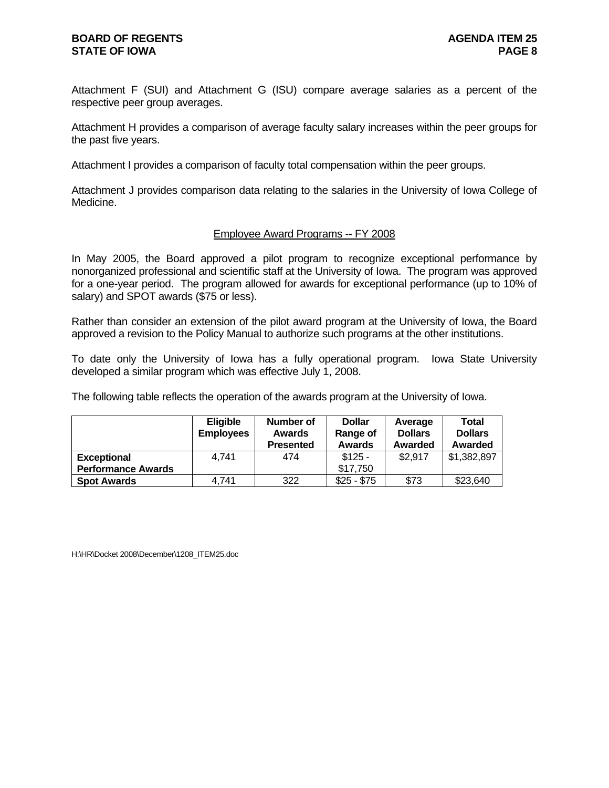### **BOARD OF REGENTS AGENUS AGENDA ITEM 25 STATE OF IOWA PAGE 8**

Attachment F (SUI) and Attachment G (ISU) compare average salaries as a percent of the respective peer group averages.

Attachment H provides a comparison of average faculty salary increases within the peer groups for the past five years.

Attachment I provides a comparison of faculty total compensation within the peer groups.

Attachment J provides comparison data relating to the salaries in the University of Iowa College of Medicine.

### Employee Award Programs -- FY 2008

In May 2005, the Board approved a pilot program to recognize exceptional performance by nonorganized professional and scientific staff at the University of Iowa. The program was approved for a one-year period. The program allowed for awards for exceptional performance (up to 10% of salary) and SPOT awards (\$75 or less).

Rather than consider an extension of the pilot award program at the University of Iowa, the Board approved a revision to the Policy Manual to authorize such programs at the other institutions.

To date only the University of Iowa has a fully operational program. Iowa State University developed a similar program which was effective July 1, 2008.

The following table reflects the operation of the awards program at the University of Iowa.

|                           | <b>Eligible</b><br><b>Employees</b> | Number of<br>Awards<br><b>Presented</b> | <b>Dollar</b><br>Range of<br><b>Awards</b> | Average<br><b>Dollars</b><br>Awarded | <b>Total</b><br><b>Dollars</b><br>Awarded |
|---------------------------|-------------------------------------|-----------------------------------------|--------------------------------------------|--------------------------------------|-------------------------------------------|
| <b>Exceptional</b>        | 4.741                               | 474                                     | $$125 -$                                   | \$2,917                              | \$1,382,897                               |
| <b>Performance Awards</b> |                                     |                                         | \$17.750                                   |                                      |                                           |
| <b>Spot Awards</b>        | 4.741                               | 322                                     | $$25 - $75$                                | \$73                                 | \$23,640                                  |

H:\HR\Docket 2008\December\1208\_ITEM25.doc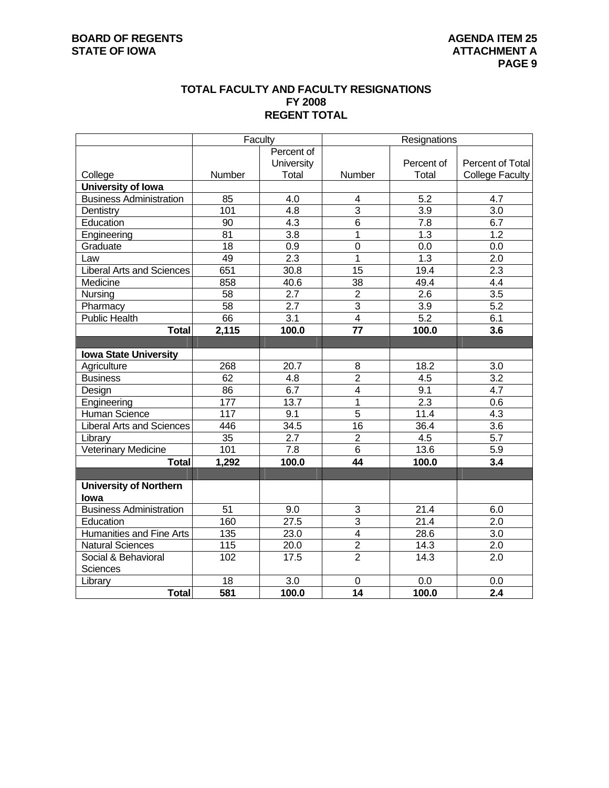### **TOTAL FACULTY AND FACULTY RESIGNATIONS FY 2008 REGENT TOTAL**

|                                  | Faculty         |                   |                 | Resignations       |                        |
|----------------------------------|-----------------|-------------------|-----------------|--------------------|------------------------|
|                                  |                 | Percent of        |                 |                    |                        |
|                                  |                 | University        |                 | Percent of         | Percent of Total       |
| College                          | Number          | Total             | Number          | Total              | <b>College Faculty</b> |
| University of Iowa               |                 |                   |                 |                    |                        |
| <b>Business Administration</b>   | 85              | 4.0               | 4               | 5.2                | 4.7                    |
| Dentistry                        | 101             | 4.8               | $\overline{3}$  | 3.9                | 3.0                    |
| Education                        | 90              | 4.3               | $\overline{6}$  | 7.8                | 6.7                    |
| Engineering                      | 81              | 3.8               | 1               | 1.3                | 1.2                    |
| Graduate                         | 18              | 0.9               | $\mathbf 0$     | 0.0                | 0.0                    |
| Law                              | 49              | 2.3               | $\overline{1}$  | $\overline{1.3}$   | $\overline{2.0}$       |
| <b>Liberal Arts and Sciences</b> | 651             | $\overline{30.8}$ | 15              | 19.4               | $\overline{2.3}$       |
| Medicine                         | 858             | 40.6              | $\overline{38}$ | 49.4               | $\overline{4.4}$       |
| Nursing                          | 58              | $\overline{2.7}$  | $\overline{2}$  | 2.6                | $\overline{3.5}$       |
| Pharmacy                         | $\overline{58}$ | $\overline{2.7}$  | $\overline{3}$  | $\overline{3.9}$   | $\overline{5.2}$       |
| <b>Public Health</b>             | 66              | $\overline{3.1}$  | $\overline{4}$  | 5.2                | 6.1                    |
| <b>Total</b>                     | 2,115           | 100.0             | 77              | 100.0              | 3.6                    |
|                                  |                 |                   |                 |                    |                        |
| <b>Iowa State University</b>     |                 |                   |                 |                    |                        |
| Agriculture                      | 268             | $\overline{20.7}$ | 8               | 18.2               | $\overline{3.0}$       |
| <b>Business</b>                  | 62              | 4.8               | $\overline{2}$  | 4.5                | $\overline{3.2}$       |
| Design                           | 86              | 6.7               | 4               | 9.1                | 4.7                    |
| Engineering                      | 177             | 13.7              | $\overline{1}$  | $\overline{2.3}$   | 0.6                    |
| Human Science                    | 117             | 9.1               | $\overline{5}$  | 11.4               | 4.3                    |
| <b>Liberal Arts and Sciences</b> | 446             | 34.5              | 16              | 36.4               | $\overline{3.6}$       |
| Library                          | $\overline{35}$ | $\overline{2.7}$  | $\overline{2}$  | 4.5                | $\overline{5.7}$       |
| <b>Veterinary Medicine</b>       | 101             | $\overline{7.8}$  | 6               | 13.6               | 5.9                    |
| <b>Total</b>                     | 1,292           | 100.0             | 44              | 100.0              | 3.4                    |
|                                  |                 |                   |                 |                    |                        |
| <b>University of Northern</b>    |                 |                   |                 |                    |                        |
| lowa                             |                 |                   |                 |                    |                        |
| <b>Business Administration</b>   | 51              | 9.0               | 3               | 21.4               | 6.0                    |
| Education                        | 160             | 27.5              | $\overline{3}$  | $\overline{21}$ .4 | 2.0                    |
| <b>Humanities and Fine Arts</b>  | $\frac{135}{1}$ | 23.0              | $\overline{4}$  | 28.6               | 3.0                    |
| <b>Natural Sciences</b>          | 115             | 20.0              | $\overline{2}$  | 14.3               | 2.0                    |
| Social & Behavioral              | 102             | 17.5              | $\overline{2}$  | 14.3               | 2.0                    |
| Sciences                         |                 |                   |                 |                    |                        |
| Library                          | 18              | 3.0               | 0               | 0.0                | 0.0                    |
| <b>Total</b>                     | 581             | 100.0             | $\overline{14}$ | 100.0              | $\overline{2.4}$       |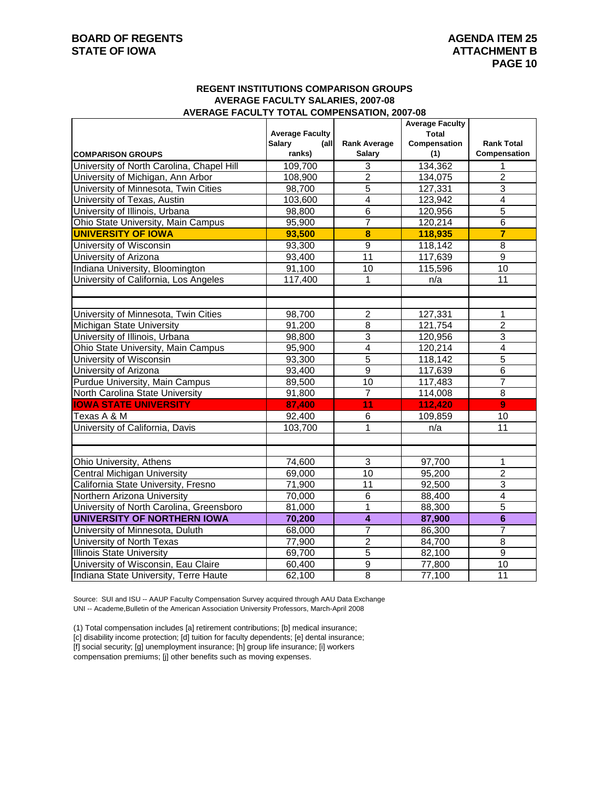### **REGENT INSTITUTIONS COMPARISON GROUPS AVERAGE FACULTY SALARIES, 2007-08 AVERAGE FACULTY TOTAL COMPENSATION, 2007-08**

|                                           |                        |                         | <b>Average Faculty</b> |                         |
|-------------------------------------------|------------------------|-------------------------|------------------------|-------------------------|
|                                           | <b>Average Faculty</b> |                         | Total                  |                         |
|                                           | Salary<br>(all         | <b>Rank Average</b>     | Compensation           | <b>Rank Total</b>       |
| <b>COMPARISON GROUPS</b>                  | ranks)                 | <b>Salary</b>           | (1)                    | Compensation            |
| University of North Carolina, Chapel Hill | 109,700                | 3                       | 134,362                | 1                       |
| University of Michigan, Ann Arbor         | 108,900                | $\overline{2}$          | 134,075                | $\overline{2}$          |
| University of Minnesota, Twin Cities      | 98,700                 | $\overline{5}$          | 127,331                | $\overline{3}$          |
| University of Texas, Austin               | 103,600                | $\overline{4}$          | 123,942                | $\overline{4}$          |
| University of Illinois, Urbana            | 98,800                 | $\overline{6}$          | 120,956                | $\overline{5}$          |
| Ohio State University, Main Campus        | 95,900                 | $\overline{7}$          | 120,214                | $\overline{6}$          |
| <b>UNIVERSITY OF IOWA</b>                 | 93,500                 | $\overline{\mathbf{8}}$ | 118,935                | $\overline{\mathbf{7}}$ |
| University of Wisconsin                   | 93,300                 | 9                       | 118,142                | 8                       |
| University of Arizona                     | 93,400                 | 11                      | 117,639                | $\boldsymbol{9}$        |
| Indiana University, Bloomington           | 91,100                 | 10                      | 115,596                | 10                      |
| University of California, Los Angeles     | 117,400                | 1                       | n/a                    | 11                      |
|                                           |                        |                         |                        |                         |
|                                           |                        |                         |                        |                         |
| University of Minnesota, Twin Cities      | 98,700                 | $\overline{c}$          | 127,331                | 1                       |
| Michigan State University                 | 91,200                 | 8                       | 121,754                | $\overline{2}$          |
| University of Illinois, Urbana            | 98,800                 | 3                       | 120,956                | $\overline{3}$          |
| Ohio State University, Main Campus        | 95,900                 | $\overline{4}$          | 120,214                | $\overline{4}$          |
| University of Wisconsin                   | 93,300                 | $\overline{5}$          | 118,142                | $\overline{5}$          |
| University of Arizona                     | 93,400                 | $\overline{9}$          | 117,639                | $\,6$                   |
| Purdue University, Main Campus            | 89,500                 | $\overline{10}$         | 117,483                | $\overline{7}$          |
| North Carolina State University           | 91,800                 | $\overline{7}$          | 114,008                | 8                       |
| <b>IOWA STATE UNIVERSITY</b>              | 87,400                 | 11                      | 112,420                | 9                       |
| Texas A & M                               | 92,400                 | 6                       | 109,859                | 10                      |
| University of California, Davis           | 103,700                | 1                       | n/a                    | 11                      |
|                                           |                        |                         |                        |                         |
|                                           |                        |                         |                        |                         |
| Ohio University, Athens                   | 74,600                 | $\overline{3}$          | 97,700                 | 1                       |
| Central Michigan University               | 69,000                 | 10                      | 95,200                 | $\overline{2}$          |
| California State University, Fresno       | 71,900                 | 11                      | 92,500                 | 3                       |
| Northern Arizona University               | 70,000                 | 6                       | 88,400                 | $\overline{4}$          |
| University of North Carolina, Greensboro  | 81,000                 | $\overline{1}$          | 88,300                 | $\overline{5}$          |
| <b>UNIVERSITY OF NORTHERN IOWA</b>        | 70,200                 | $\overline{4}$          | 87,900                 | $6\phantom{1}$          |
| University of Minnesota, Duluth           | 68,000                 | $\overline{7}$          | 86,300                 | $\overline{7}$          |
| University of North Texas                 | 77,900                 | $\overline{c}$          | 84,700                 | 8                       |
| <b>Illinois State University</b>          | 69,700                 | 5                       | 82,100                 | 9                       |
| University of Wisconsin, Eau Claire       | 60,400                 | $\overline{9}$          | 77,800                 | 10                      |
| Indiana State University, Terre Haute     | 62,100                 | $\overline{8}$          | 77,100                 | 11                      |

Source: SUI and ISU -- AAUP Faculty Compensation Survey acquired through AAU Data Exchange UNI -- Academe,Bulletin of the American Association University Professors, March-April 2008

(1) Total compensation includes [a] retirement contributions; [b] medical insurance;

[c] disability income protection; [d] tuition for faculty dependents; [e] dental insurance;

[f] social security; [g] unemployment insurance; [h] group life insurance; [i] workers

compensation premiums; [j] other benefits such as moving expenses.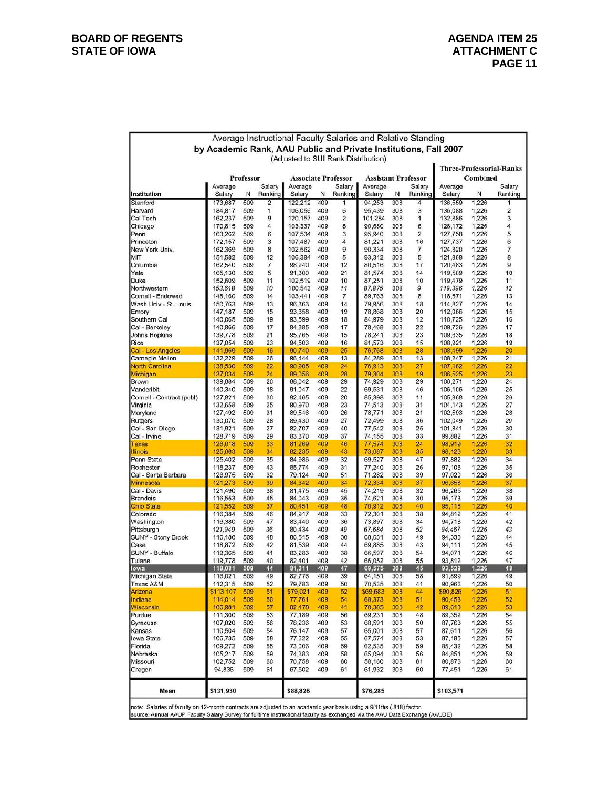|                                                                                                                                                                                                                                                       |                                                                  |            |          |                                       |            |                | Average Instructional Faculty Salaries and Relative Standing |            |                         |                    |                |                                 |
|-------------------------------------------------------------------------------------------------------------------------------------------------------------------------------------------------------------------------------------------------------|------------------------------------------------------------------|------------|----------|---------------------------------------|------------|----------------|--------------------------------------------------------------|------------|-------------------------|--------------------|----------------|---------------------------------|
|                                                                                                                                                                                                                                                       | by Academic Rank, AAU Public and Private Institutions, Fall 2007 |            |          |                                       |            |                |                                                              |            |                         |                    |                |                                 |
|                                                                                                                                                                                                                                                       |                                                                  |            |          | (Adjusted to SUI Rank Distribution)   |            |                |                                                              |            |                         |                    |                |                                 |
|                                                                                                                                                                                                                                                       |                                                                  |            |          |                                       |            |                |                                                              |            |                         |                    |                | <b>Three-Professorial-Ranks</b> |
|                                                                                                                                                                                                                                                       | Average                                                          | Professor  | Salary   | <b>Associate Professor</b><br>Average |            | Salary         | <b>Assistant Professor</b><br>Average                        |            | Salary                  | Average            | Combined       | Salary                          |
| Institution                                                                                                                                                                                                                                           | Salary                                                           | N          | Ranking  | Salary                                | N          | Ranking        | Salary                                                       | N          | Ranking                 | Salary             | N              | Ranking                         |
| Stanford                                                                                                                                                                                                                                              | 173,687                                                          | 509        | 2        | 122,212                               | 409        | 1              | 94,253                                                       | 308        | 4                       | 136,559            | 1,226          | 1                               |
| Harvard                                                                                                                                                                                                                                               | 184,817                                                          | 509        | 1        | 106,056                               | 409        | 6              | 95,439                                                       | 308        | 3                       | 136,088            | 1,226          | $\overline{\mathbf{2}}$         |
| Cal Tech                                                                                                                                                                                                                                              | 162,237                                                          | 509<br>509 | 9        | 120,157                               | 409<br>409 | 2<br>8         | 101,284                                                      | 308<br>308 | 1<br>6                  | 132,886            | 1,226          | 3<br>4                          |
| Chicago<br>Penn                                                                                                                                                                                                                                       | 170,815<br>163,262                                               | 509        | 4<br>6   | 103,337<br>107,534                    | 409        | 3              | 90,680<br>95,940                                             | 308        | $\overline{\mathbf{c}}$ | 128,172<br>127,758 | 1,226<br>1,226 | 5                               |
| Princeton                                                                                                                                                                                                                                             | 172,157                                                          | 509        | 3        | 107,487                               | 409        | 4              | 81,221                                                       | 308        | 16                      | 127,737            | 1,226          | 6                               |
| New York Univ.                                                                                                                                                                                                                                        | 162,369                                                          | 509        | 8        | 102,562                               | 409        | 9              | 90,334                                                       | 308        | $\overline{7}$          | 124,320            | 1,226          | 7                               |
| міт                                                                                                                                                                                                                                                   | 151.582                                                          | 509        | 12       | 106.394                               | 409        | 5              | 93,312                                                       | 308        | 5                       | 121,868            | 1,226          | 8                               |
| Columbia                                                                                                                                                                                                                                              | 162,540                                                          | 509        | 7        | 98,240                                | 409        | 12             | 80,516                                                       | 308        | 17                      | 120,483            | 1,226          | 9                               |
| Yale<br>Duke                                                                                                                                                                                                                                          | 165,130<br>152,609                                               | 509<br>509 | 5<br>11  | 91,300<br>102,519                     | 409<br>409 | 21<br>10       | 81,574<br>87,251                                             | 308<br>308 | 14<br>10                | 119,509<br>119,479 | 1,226<br>1,226 | 10<br>11                        |
| Northwestern                                                                                                                                                                                                                                          | 153,618                                                          | 509        | 10       | 100,543                               | 409        | 11             | 87,875                                                       | 308        | 9                       | 119,396            | 1,226          | 12                              |
| Cornell - Endowed                                                                                                                                                                                                                                     | 148,160                                                          | 509        | 14       | 103,441                               | 409        | $\overline{7}$ | 89,763                                                       | 308        | 8                       | 118,571            | 1,226          | 13                              |
| Wash Univ - St. Louis                                                                                                                                                                                                                                 | 150,763                                                          | 509        | 13       | 96,363                                | 409        | 14             | 79,956                                                       | 308        | 18                      | 114,827            | 1,226          | 14                              |
| Emory                                                                                                                                                                                                                                                 | 147,187                                                          | 509        | 15       | 93,358                                | 409        | 19             | 78,868                                                       | 308        | 20                      | 112,066            | 1,226          | 15                              |
| Southern Cal                                                                                                                                                                                                                                          | 140,065                                                          | 509        | 19       | 93,599                                | 409        | 18             | 84,979                                                       | 308        | 12                      | 110,725            | 1,226          | 16                              |
| Cal - Berkeley                                                                                                                                                                                                                                        | 140,966                                                          | 509        | 17<br>21 | 94,385<br>95.765                      | 409        | 17             | 78,468                                                       | 308        | 22                      | 109,726            | 1,226          | 17                              |
| <b>Johns Hopkins</b><br>Rice                                                                                                                                                                                                                          | 139,778<br>137,054                                               | 509<br>509 | 23       | 94,503                                | 409<br>409 | 15<br>16       | 78,241<br>81.573                                             | 308<br>308 | 23<br>15                | 109,635<br>108,921 | 1,226<br>1,226 | 18<br>19                        |
| Cal - Los Angeles                                                                                                                                                                                                                                     | 141,969                                                          | 509        | 16       | 90,740                                | 409        | 25             | 76,768                                                       | 308        | 28                      | 108,499            | 1,226          | 20                              |
| Carnegie Mellon                                                                                                                                                                                                                                       | 132,229                                                          | 509        | 26       | 96,444                                | 409        | 13             | 84,289                                                       | 308        | 13                      | 108,247            | 1,226          | 21                              |
| North Carolina                                                                                                                                                                                                                                        | 138,530                                                          | 509        | 22       | 90,905                                | 409        | 24             | 76,913                                                       | 308        | 27                      | 107,162            | 1,226          | 22                              |
| Michigan                                                                                                                                                                                                                                              | 137,034                                                          | 509        | 24       | 89,056                                | 409        | 28             | 79,304                                                       | 308        | 19                      | 106,525            | 1,226          | 23                              |
| <b>Brown</b>                                                                                                                                                                                                                                          | 139,884                                                          | 509        | 20       | 88,042                                | 409        | 29             | 74,929                                                       | 308        | 29                      | 106,271            | 1,226          | 24                              |
| Vanderibit<br>Cornell - Contract (publ)                                                                                                                                                                                                               | 140,340<br>127,821                                               | 509<br>509 | 18<br>30 | 91,047<br>92,465                      | 409<br>409 | 22<br>20       | 69,531<br>85,398                                             | 308<br>308 | 46<br>11                | 106,106<br>105,368 | 1,226<br>1,226 | 25<br>26                        |
| Virginia                                                                                                                                                                                                                                              | 132,658                                                          | 509        | 25       | 90,970                                | 409        | 23             | 74,513                                                       | 308        | 31                      | 104,143            | 1,226          | 27                              |
| Maryland                                                                                                                                                                                                                                              | 127,492                                                          | 509        | 31       | 89,546                                | 409        | 26             | 78,771                                                       | 308        | 21                      | 102,593            | 1,226          | 28                              |
| Rutgers                                                                                                                                                                                                                                               | 130,070                                                          | 509        | 28       | 89,430                                | 409        | 27             | 72,499                                                       | 308        | 36                      | 102,049            | 1,226          | 29                              |
| Cal - San Diego                                                                                                                                                                                                                                       | 131,921                                                          | 509        | 27       | 82,707                                | 409        | 40             | 77,542                                                       | 308        | 25                      | 101,841            | 1,226          | 30                              |
| Cal - Irvine                                                                                                                                                                                                                                          | 128,719                                                          | 509        | 29       | 83,370                                | 409        | 37             | 74,155                                                       | 308        | 33                      | 99,882             | 1,226          | 31                              |
| <b>Texas</b><br><b>Illinois</b>                                                                                                                                                                                                                       | 126,018<br>125,683                                               | 509<br>509 | 33<br>34 | 81,269<br>82,235                      | 409<br>409 | 46<br>43       | 77,574<br>73,687                                             | 308<br>308 | 24<br>35                | 98,919<br>98,126   | 1,226<br>1,226 | 32<br>33                        |
| Penn State                                                                                                                                                                                                                                            | 125,402                                                          | 509        | 35       | 84,986                                | 409        | 32             | 69,527                                                       | 308        | 47                      | 97,882             | 1,226          | 34                              |
| Rochester                                                                                                                                                                                                                                             | 118,237                                                          | 509        | 43       | 85,774                                | 409        | 31             | 77,240                                                       | 308        | 26                      | 97,108             | 1,226          | 35                              |
| Cal - Santa Barbara                                                                                                                                                                                                                                   | 126,975                                                          | 509        | 32       | 79,124                                | 409        | 51             | 71,282                                                       | 308        | 39                      | 97,020             | 1,226          | 36                              |
| Minnesota                                                                                                                                                                                                                                             | 121,273                                                          | 509        | 39       | 84,342                                | 409        | 34             | 72,334                                                       | 308        | 37                      | 96,658             | 1,226          | 37                              |
| Cal - Davis<br>Brandeis                                                                                                                                                                                                                               | 121,490<br>116,553                                               | 509<br>509 | 38<br>45 | 81,475<br>84,043                      | 409<br>409 | 45<br>35       | 74,219<br>74,621                                             | 308<br>308 | 32<br>30                | 96,265<br>95,173   | 1,226<br>1,226 | 38<br>39                        |
| <b>Ohio State</b>                                                                                                                                                                                                                                     | 121,552                                                          | 509        | 37       | 80,451                                | 409        | 48             | 70,912                                                       | 308        | 40                      | 95,118             | 1,226          | 40                              |
| Colorado                                                                                                                                                                                                                                              | 116,384                                                          | 509        | 46       | 84,917                                | 409        | 33             | 72,301                                                       | 308        | 38                      | 94,812             | 1,226          | 41                              |
| Washington                                                                                                                                                                                                                                            | 116,380                                                          | 509        | 47       | 83,440                                | 409        | 36             | 73,897                                                       | 308        | 34                      | 94.718             | 1,226          | 42                              |
| Pittsburgh                                                                                                                                                                                                                                            | 121,949                                                          | 509        | 36       | 80,434                                | 409        | 49             | 67,684                                                       | 308        | 52                      | 94,467             | 1.226          | 43                              |
| <b>SUNY - Stony Brook</b>                                                                                                                                                                                                                             | 116,180                                                          | 509        | 48       | 86,515                                | 409        | 30             | 68,631                                                       | 308        | 49                      | 94,338             | 1,226          | 44                              |
| Case<br>SUNY - Buffalo                                                                                                                                                                                                                                | 118,872<br>119,365                                               | 509<br>509 | 42<br>41 | 81,539<br>83,283                      | 409<br>409 | 44<br>38       | 69,885<br>66,597                                             | 308<br>308 | 43<br>54                | 94,111<br>94,071   | 1,226<br>1,226 | 45<br>46                        |
| Tulane                                                                                                                                                                                                                                                | 119,778                                                          | 509        | 40       | 82,401                                | 409        | 42             | 66,052                                                       | 308        | 55                      | 93,812             | 1,226          | 47                              |
| lowa                                                                                                                                                                                                                                                  | 118,081                                                          | 509        | 44       | 81,011                                | 409        | 47             | 69,575                                                       | 308        | 45                      | 93,529             | 1,226          | 48                              |
| Michigan State                                                                                                                                                                                                                                        | 116,021                                                          | 509        | 49       | 82,776                                | 409        | 39             | 64,151                                                       | 308        | 58                      | 91,899             | 1,226          | 49                              |
| Texas A&M                                                                                                                                                                                                                                             | 112,315                                                          | 509        | 52       | 79,783                                | 409        | 50             | 70,535                                                       | 308        | 41                      | 90,966             | 1,226          | 50                              |
| Arizona<br>Indiana                                                                                                                                                                                                                                    | \$113,107<br>114,014                                             | 509<br>509 | 51       | \$79,021                              | 409<br>409 | 52<br>54       | \$69,683<br>68,373                                           | 308<br>308 | 44<br>51                | \$90,826<br>90,453 | 1,226          | 51<br>52                        |
| Wisconsin                                                                                                                                                                                                                                             | 106,981                                                          | 509        | 50<br>57 | 77,761<br>82,478                      | 409        | 41             | 70,385                                                       | 308        | 42                      | 89,613             | 1,226<br>1,226 | 53                              |
| Purdue                                                                                                                                                                                                                                                | 111,300                                                          | 509        | 53       | 77,189                                | 409        | 56             | 69,231                                                       | 308        | 48                      | 89,352             | 1,226          | 54                              |
| Syracuse                                                                                                                                                                                                                                              | 107,020                                                          | 509        | 56       | 78,236                                | 409        | 53             | 68,591                                                       | 308        | 50                      | 87,763             | 1,226          | 55                              |
| Kansas                                                                                                                                                                                                                                                | 110,504                                                          | 509        | 54       | 76,147                                | 409        | 57             | 65,001                                                       | 308        | 57                      | 87,611             | 1,226          | 56                              |
| Iowa State                                                                                                                                                                                                                                            | 106,735                                                          | 509        | 58       | 77,622                                | 409        | 55             | 67,574                                                       | 308        | 53                      | 87,185             | 1,226          | 57                              |
| Florida<br>Nebraska                                                                                                                                                                                                                                   | 109,272<br>105,217                                               | 509<br>509 | 55<br>59 | 73,006<br>74,383                      | 409<br>409 | 59<br>58       | 62,535<br>65,094                                             | 308<br>308 | 59<br>56                | 85,432<br>84,851   | 1,226<br>1,226 | 58<br>59                        |
| Missouri                                                                                                                                                                                                                                              | 102,752                                                          | 509        | 60       | 70,758                                | 409        | 60             | 58,160                                                       | 308        | 61                      | 80,876             | 1,226          | 60                              |
| Oregon                                                                                                                                                                                                                                                | 94,836                                                           | 509        | 61       | 67,502                                | 409        | 61             | 61,932                                                       | 308        | 60                      | 77,451             | 1,226          | 61                              |
|                                                                                                                                                                                                                                                       |                                                                  |            |          |                                       |            |                |                                                              |            |                         |                    |                |                                 |
| Mean                                                                                                                                                                                                                                                  | \$131,930                                                        |            |          | \$88,826                              |            |                | \$76,285                                                     |            |                         | \$103,571          |                |                                 |
| note: Salaries of faculty on 12-month contracts are adjusted to an academic year basis using a 9/11ths (.818) factor.<br>source: Annual AAUP Faculty Salary Survey for fulltime instructional faculty as exchanged via the AAU Data Exchange (AAUDE). |                                                                  |            |          |                                       |            |                |                                                              |            |                         |                    |                |                                 |

## Average Instructional Faculty Salaries and Relative Standing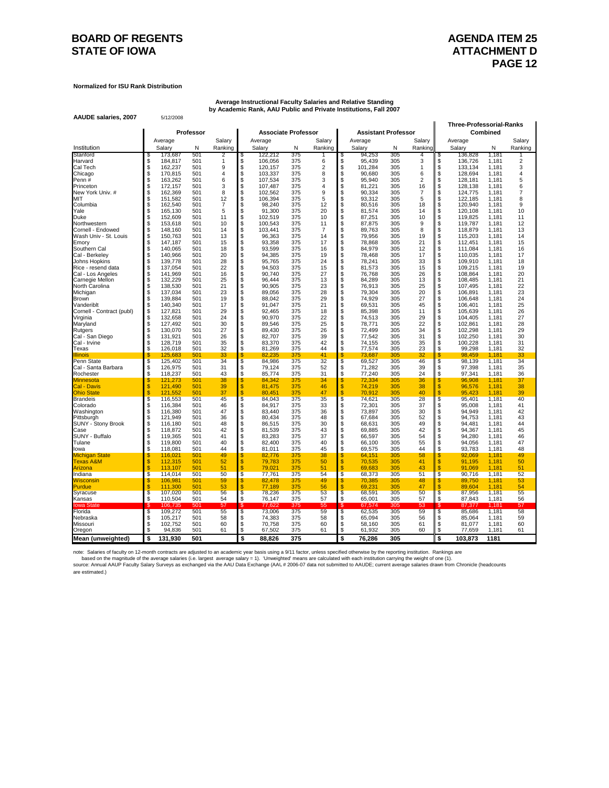### **BOARD OF REGENTS AGENDA ITEM 25 STATE OF IOWA ATTACHMENT D**

**Normalized for ISU Rank Distribution**

**AAUDE salaries, 2007** 5/12/2008

**Average Instructional Faculty Salaries and Relative Standing by Academic Rank, AAU Public and Private Institutions, Fall 2007**

| <b>Associate Professor</b><br>Combined<br>Average<br>Salary<br>Average<br>Salary<br>Average<br>Salary<br>Average<br>Institution<br>Salary<br>Ν<br>Ranking<br>Salary<br>N<br>Ranking<br>Salary<br>N<br>Ranking<br>Salary<br>Ν<br>Stanford<br>501<br>375<br>305<br>1,181<br>173,687<br>122,212<br>94,253<br>136,828<br>2<br>4<br>S<br>5<br>æ.<br>\$<br>\$<br>\$<br>3<br>\$<br>2<br>501<br>106,056<br>375<br>6<br>95,439<br>305<br>136,726<br>1,181<br>Harvard<br>184,817<br>1<br>162,237<br>\$<br>2<br>\$<br>101,284<br>\$<br>Cal Tech<br>\$<br>501<br>9<br>120,157<br>375<br>305<br>1<br>133,134<br>1,181<br>\$<br>\$<br>501<br>375<br>8<br>\$<br>305<br>128,694<br>\$<br>170,815<br>103,337<br>90,680<br>6<br>1,181<br>Chicago<br>4<br>\$<br>\$<br>163,262<br>501<br>107,534<br>375<br>3<br>\$<br>95,940<br>305<br>$\overline{2}$<br>128,181<br>1,181<br>Penn#<br>\$<br>6<br>\$<br>\$<br>501<br>107,487<br>375<br>$\overline{4}$<br>\$<br>81,221<br>305<br>16<br>128,138<br>1,181<br>Princeton<br>S<br>172,157<br>3<br>\$<br>\$<br>\$<br>9<br>90,334<br>305<br>$\overline{7}$<br>7<br>New York Univ. #<br>S.<br>162,369<br>501<br>8<br>102,562<br>375<br>124,775<br>1,181<br>151,582<br>501<br>12<br>\$<br>106,394<br>375<br>5<br>\$<br>93,312<br>305<br>5<br>\$<br>122,185<br>1,181<br>8<br>МIТ<br>\$<br>\$<br>\$<br>\$<br>162.540<br>501<br>$\overline{7}$<br>375<br>12<br>305<br>120.940<br>9<br>Columbia<br>\$<br>98.240<br>80.516<br>18<br>1.181<br>Š<br>\$.<br>165,130<br>501<br>5<br>91,300<br>375<br>20<br>305<br>14<br>120,108<br>Yale<br>81,574<br>1.181<br>\$<br>\$<br>305<br>\$<br>S<br>501<br>102,519<br>375<br>10<br>87,251<br>10<br>119,825<br>Duke<br>152,609<br>11<br>1.181<br>\$<br>\$<br>\$<br>153.618<br>501<br>100,543<br>375<br>87,875<br>305<br>9<br>119,787<br>Northwestern<br>\$<br>10<br>11<br>1.181<br>501<br>\$<br>375<br>$\overline{7}$<br>\$<br>89,763<br>305<br>\$<br>148,160<br>103,441<br>8<br>118,879<br>Cornell - Endowed<br>\$<br>14<br>1,181<br>\$<br>\$<br>Wash Univ - St. Louis<br>150.763<br>501<br>13<br>96,363<br>375<br>\$<br>79,956<br>305<br>19<br>115,203<br>1.181<br>\$<br>14<br>\$<br>\$<br>\$<br>147,187<br>501<br>15<br>93,358<br>375<br>17<br>78,868<br>305<br>21<br>112,451<br>1,181<br>Emory<br>\$<br>\$<br>\$<br>\$<br>305<br>S<br>501<br>18<br>93.599<br>375<br>84,979<br>12<br>111,084<br>1.181<br>16<br>Southern Cal<br>140.065<br>16<br>\$<br>94,385<br>\$<br>\$<br>S<br>140,966<br>501<br>20<br>375<br>19<br>78,468<br>305<br>17<br>110,035<br>1,181<br>17<br>Cal - Berkeley<br>\$<br>\$<br>\$<br>501<br>28<br>375<br>33<br>\$<br>139,778<br>95,765<br>24<br>78,241<br>305<br>109,910<br>1,181<br>18<br>Johns Hopkins<br>Š.<br>Š.<br>S<br>137,054<br>501<br>22<br>94,503<br>375<br>15<br>81,573<br>305<br>15<br>109,215<br>1,181<br>Rice - resend data<br>\$<br>\$<br>\$<br>375<br>27<br>76,768<br>305<br>26<br>\$<br>141,969<br>501<br>16<br>90,740<br>108,864<br>1,181<br>Cal - Los Angeles<br>\$<br>\$<br>\$<br>Carnegie Mellon<br>S<br>132,229<br>501<br>25<br>96,444<br>375<br>13<br>84,289<br>305<br>13<br>108,485<br>1,181<br>138,530<br>501<br>21<br>\$<br>90,905<br>375<br>23<br>\$<br>76,913<br>305<br>25<br>\$<br>107,495<br>North Carolina<br>\$<br>1,181<br>\$<br>\$<br>\$<br>23<br>375<br>20<br>137,034<br>501<br>89,056<br>28<br>79,304<br>305<br>106,891<br>1,181<br>Michigan<br>S<br>\$<br>139,884<br>501<br>\$<br>88,042<br>375<br>29<br>\$<br>74,929<br>305<br>27<br><b>Brown</b><br>S<br>19<br>106,648<br>1,181<br>\$<br>\$<br>\$<br>25<br>501<br>17<br>375<br>21<br>69,531<br>305<br>45<br>140,340<br>91,047<br>106,401<br>1,181<br>Vanderiblt<br>127,821<br>29<br>\$<br>92,465<br>375<br>\$<br>85,398<br>305<br>\$<br>26<br>\$<br>501<br>18<br>11<br>105,639<br>1,181<br>Cornell - Contract (publ)<br>\$<br>\$<br>\$<br>29<br>27<br>\$<br>501<br>24<br>90,970<br>375<br>22<br>74,513<br>305<br>104,405<br>132,658<br>1,181<br>Virginia<br>Š.<br>\$<br>\$<br>22<br>S<br>25<br>127,492<br>501<br>30<br>89,546<br>375<br>78,771<br>305<br>102,861<br>1,181<br>Maryland |                                            |           |                            |               |             |
|------------------------------------------------------------------------------------------------------------------------------------------------------------------------------------------------------------------------------------------------------------------------------------------------------------------------------------------------------------------------------------------------------------------------------------------------------------------------------------------------------------------------------------------------------------------------------------------------------------------------------------------------------------------------------------------------------------------------------------------------------------------------------------------------------------------------------------------------------------------------------------------------------------------------------------------------------------------------------------------------------------------------------------------------------------------------------------------------------------------------------------------------------------------------------------------------------------------------------------------------------------------------------------------------------------------------------------------------------------------------------------------------------------------------------------------------------------------------------------------------------------------------------------------------------------------------------------------------------------------------------------------------------------------------------------------------------------------------------------------------------------------------------------------------------------------------------------------------------------------------------------------------------------------------------------------------------------------------------------------------------------------------------------------------------------------------------------------------------------------------------------------------------------------------------------------------------------------------------------------------------------------------------------------------------------------------------------------------------------------------------------------------------------------------------------------------------------------------------------------------------------------------------------------------------------------------------------------------------------------------------------------------------------------------------------------------------------------------------------------------------------------------------------------------------------------------------------------------------------------------------------------------------------------------------------------------------------------------------------------------------------------------------------------------------------------------------------------------------------------------------------------------------------------------------------------------------------------------------------------------------------------------------------------------------------------------------------------------------------------------------------------------------------------------------------------------------------------------------------------------------------------------------------------------------------------------------------------------------------------------------------------------------------------------------------------------------------------------------------------------------------------------------------------------------------------------------------------------------------------------------------------------------------------------------------------------------------------------------------------------------------------------------------------------------|--------------------------------------------|-----------|----------------------------|---------------|-------------|
|                                                                                                                                                                                                                                                                                                                                                                                                                                                                                                                                                                                                                                                                                                                                                                                                                                                                                                                                                                                                                                                                                                                                                                                                                                                                                                                                                                                                                                                                                                                                                                                                                                                                                                                                                                                                                                                                                                                                                                                                                                                                                                                                                                                                                                                                                                                                                                                                                                                                                                                                                                                                                                                                                                                                                                                                                                                                                                                                                                                                                                                                                                                                                                                                                                                                                                                                                                                                                                                                                                                                                                                                                                                                                                                                                                                                                                                                                                                                                                                                                                                      | Professor                                  |           | <b>Assistant Professor</b> |               |             |
|                                                                                                                                                                                                                                                                                                                                                                                                                                                                                                                                                                                                                                                                                                                                                                                                                                                                                                                                                                                                                                                                                                                                                                                                                                                                                                                                                                                                                                                                                                                                                                                                                                                                                                                                                                                                                                                                                                                                                                                                                                                                                                                                                                                                                                                                                                                                                                                                                                                                                                                                                                                                                                                                                                                                                                                                                                                                                                                                                                                                                                                                                                                                                                                                                                                                                                                                                                                                                                                                                                                                                                                                                                                                                                                                                                                                                                                                                                                                                                                                                                                      |                                            |           |                            |               | Salary      |
|                                                                                                                                                                                                                                                                                                                                                                                                                                                                                                                                                                                                                                                                                                                                                                                                                                                                                                                                                                                                                                                                                                                                                                                                                                                                                                                                                                                                                                                                                                                                                                                                                                                                                                                                                                                                                                                                                                                                                                                                                                                                                                                                                                                                                                                                                                                                                                                                                                                                                                                                                                                                                                                                                                                                                                                                                                                                                                                                                                                                                                                                                                                                                                                                                                                                                                                                                                                                                                                                                                                                                                                                                                                                                                                                                                                                                                                                                                                                                                                                                                                      |                                            |           |                            |               | Ranking     |
|                                                                                                                                                                                                                                                                                                                                                                                                                                                                                                                                                                                                                                                                                                                                                                                                                                                                                                                                                                                                                                                                                                                                                                                                                                                                                                                                                                                                                                                                                                                                                                                                                                                                                                                                                                                                                                                                                                                                                                                                                                                                                                                                                                                                                                                                                                                                                                                                                                                                                                                                                                                                                                                                                                                                                                                                                                                                                                                                                                                                                                                                                                                                                                                                                                                                                                                                                                                                                                                                                                                                                                                                                                                                                                                                                                                                                                                                                                                                                                                                                                                      |                                            |           |                            |               |             |
|                                                                                                                                                                                                                                                                                                                                                                                                                                                                                                                                                                                                                                                                                                                                                                                                                                                                                                                                                                                                                                                                                                                                                                                                                                                                                                                                                                                                                                                                                                                                                                                                                                                                                                                                                                                                                                                                                                                                                                                                                                                                                                                                                                                                                                                                                                                                                                                                                                                                                                                                                                                                                                                                                                                                                                                                                                                                                                                                                                                                                                                                                                                                                                                                                                                                                                                                                                                                                                                                                                                                                                                                                                                                                                                                                                                                                                                                                                                                                                                                                                                      |                                            |           |                            |               | 3           |
|                                                                                                                                                                                                                                                                                                                                                                                                                                                                                                                                                                                                                                                                                                                                                                                                                                                                                                                                                                                                                                                                                                                                                                                                                                                                                                                                                                                                                                                                                                                                                                                                                                                                                                                                                                                                                                                                                                                                                                                                                                                                                                                                                                                                                                                                                                                                                                                                                                                                                                                                                                                                                                                                                                                                                                                                                                                                                                                                                                                                                                                                                                                                                                                                                                                                                                                                                                                                                                                                                                                                                                                                                                                                                                                                                                                                                                                                                                                                                                                                                                                      |                                            |           |                            |               | 4           |
|                                                                                                                                                                                                                                                                                                                                                                                                                                                                                                                                                                                                                                                                                                                                                                                                                                                                                                                                                                                                                                                                                                                                                                                                                                                                                                                                                                                                                                                                                                                                                                                                                                                                                                                                                                                                                                                                                                                                                                                                                                                                                                                                                                                                                                                                                                                                                                                                                                                                                                                                                                                                                                                                                                                                                                                                                                                                                                                                                                                                                                                                                                                                                                                                                                                                                                                                                                                                                                                                                                                                                                                                                                                                                                                                                                                                                                                                                                                                                                                                                                                      |                                            |           |                            |               | 5           |
|                                                                                                                                                                                                                                                                                                                                                                                                                                                                                                                                                                                                                                                                                                                                                                                                                                                                                                                                                                                                                                                                                                                                                                                                                                                                                                                                                                                                                                                                                                                                                                                                                                                                                                                                                                                                                                                                                                                                                                                                                                                                                                                                                                                                                                                                                                                                                                                                                                                                                                                                                                                                                                                                                                                                                                                                                                                                                                                                                                                                                                                                                                                                                                                                                                                                                                                                                                                                                                                                                                                                                                                                                                                                                                                                                                                                                                                                                                                                                                                                                                                      |                                            |           |                            |               | 6           |
|                                                                                                                                                                                                                                                                                                                                                                                                                                                                                                                                                                                                                                                                                                                                                                                                                                                                                                                                                                                                                                                                                                                                                                                                                                                                                                                                                                                                                                                                                                                                                                                                                                                                                                                                                                                                                                                                                                                                                                                                                                                                                                                                                                                                                                                                                                                                                                                                                                                                                                                                                                                                                                                                                                                                                                                                                                                                                                                                                                                                                                                                                                                                                                                                                                                                                                                                                                                                                                                                                                                                                                                                                                                                                                                                                                                                                                                                                                                                                                                                                                                      |                                            |           |                            |               |             |
|                                                                                                                                                                                                                                                                                                                                                                                                                                                                                                                                                                                                                                                                                                                                                                                                                                                                                                                                                                                                                                                                                                                                                                                                                                                                                                                                                                                                                                                                                                                                                                                                                                                                                                                                                                                                                                                                                                                                                                                                                                                                                                                                                                                                                                                                                                                                                                                                                                                                                                                                                                                                                                                                                                                                                                                                                                                                                                                                                                                                                                                                                                                                                                                                                                                                                                                                                                                                                                                                                                                                                                                                                                                                                                                                                                                                                                                                                                                                                                                                                                                      |                                            |           |                            |               |             |
|                                                                                                                                                                                                                                                                                                                                                                                                                                                                                                                                                                                                                                                                                                                                                                                                                                                                                                                                                                                                                                                                                                                                                                                                                                                                                                                                                                                                                                                                                                                                                                                                                                                                                                                                                                                                                                                                                                                                                                                                                                                                                                                                                                                                                                                                                                                                                                                                                                                                                                                                                                                                                                                                                                                                                                                                                                                                                                                                                                                                                                                                                                                                                                                                                                                                                                                                                                                                                                                                                                                                                                                                                                                                                                                                                                                                                                                                                                                                                                                                                                                      |                                            |           |                            |               | 10          |
|                                                                                                                                                                                                                                                                                                                                                                                                                                                                                                                                                                                                                                                                                                                                                                                                                                                                                                                                                                                                                                                                                                                                                                                                                                                                                                                                                                                                                                                                                                                                                                                                                                                                                                                                                                                                                                                                                                                                                                                                                                                                                                                                                                                                                                                                                                                                                                                                                                                                                                                                                                                                                                                                                                                                                                                                                                                                                                                                                                                                                                                                                                                                                                                                                                                                                                                                                                                                                                                                                                                                                                                                                                                                                                                                                                                                                                                                                                                                                                                                                                                      |                                            |           |                            |               | 11          |
|                                                                                                                                                                                                                                                                                                                                                                                                                                                                                                                                                                                                                                                                                                                                                                                                                                                                                                                                                                                                                                                                                                                                                                                                                                                                                                                                                                                                                                                                                                                                                                                                                                                                                                                                                                                                                                                                                                                                                                                                                                                                                                                                                                                                                                                                                                                                                                                                                                                                                                                                                                                                                                                                                                                                                                                                                                                                                                                                                                                                                                                                                                                                                                                                                                                                                                                                                                                                                                                                                                                                                                                                                                                                                                                                                                                                                                                                                                                                                                                                                                                      |                                            |           |                            |               | 12          |
|                                                                                                                                                                                                                                                                                                                                                                                                                                                                                                                                                                                                                                                                                                                                                                                                                                                                                                                                                                                                                                                                                                                                                                                                                                                                                                                                                                                                                                                                                                                                                                                                                                                                                                                                                                                                                                                                                                                                                                                                                                                                                                                                                                                                                                                                                                                                                                                                                                                                                                                                                                                                                                                                                                                                                                                                                                                                                                                                                                                                                                                                                                                                                                                                                                                                                                                                                                                                                                                                                                                                                                                                                                                                                                                                                                                                                                                                                                                                                                                                                                                      |                                            |           |                            |               | 13          |
|                                                                                                                                                                                                                                                                                                                                                                                                                                                                                                                                                                                                                                                                                                                                                                                                                                                                                                                                                                                                                                                                                                                                                                                                                                                                                                                                                                                                                                                                                                                                                                                                                                                                                                                                                                                                                                                                                                                                                                                                                                                                                                                                                                                                                                                                                                                                                                                                                                                                                                                                                                                                                                                                                                                                                                                                                                                                                                                                                                                                                                                                                                                                                                                                                                                                                                                                                                                                                                                                                                                                                                                                                                                                                                                                                                                                                                                                                                                                                                                                                                                      |                                            |           |                            |               | 14          |
|                                                                                                                                                                                                                                                                                                                                                                                                                                                                                                                                                                                                                                                                                                                                                                                                                                                                                                                                                                                                                                                                                                                                                                                                                                                                                                                                                                                                                                                                                                                                                                                                                                                                                                                                                                                                                                                                                                                                                                                                                                                                                                                                                                                                                                                                                                                                                                                                                                                                                                                                                                                                                                                                                                                                                                                                                                                                                                                                                                                                                                                                                                                                                                                                                                                                                                                                                                                                                                                                                                                                                                                                                                                                                                                                                                                                                                                                                                                                                                                                                                                      |                                            |           |                            |               | 15          |
|                                                                                                                                                                                                                                                                                                                                                                                                                                                                                                                                                                                                                                                                                                                                                                                                                                                                                                                                                                                                                                                                                                                                                                                                                                                                                                                                                                                                                                                                                                                                                                                                                                                                                                                                                                                                                                                                                                                                                                                                                                                                                                                                                                                                                                                                                                                                                                                                                                                                                                                                                                                                                                                                                                                                                                                                                                                                                                                                                                                                                                                                                                                                                                                                                                                                                                                                                                                                                                                                                                                                                                                                                                                                                                                                                                                                                                                                                                                                                                                                                                                      |                                            |           |                            |               |             |
|                                                                                                                                                                                                                                                                                                                                                                                                                                                                                                                                                                                                                                                                                                                                                                                                                                                                                                                                                                                                                                                                                                                                                                                                                                                                                                                                                                                                                                                                                                                                                                                                                                                                                                                                                                                                                                                                                                                                                                                                                                                                                                                                                                                                                                                                                                                                                                                                                                                                                                                                                                                                                                                                                                                                                                                                                                                                                                                                                                                                                                                                                                                                                                                                                                                                                                                                                                                                                                                                                                                                                                                                                                                                                                                                                                                                                                                                                                                                                                                                                                                      |                                            |           |                            |               |             |
|                                                                                                                                                                                                                                                                                                                                                                                                                                                                                                                                                                                                                                                                                                                                                                                                                                                                                                                                                                                                                                                                                                                                                                                                                                                                                                                                                                                                                                                                                                                                                                                                                                                                                                                                                                                                                                                                                                                                                                                                                                                                                                                                                                                                                                                                                                                                                                                                                                                                                                                                                                                                                                                                                                                                                                                                                                                                                                                                                                                                                                                                                                                                                                                                                                                                                                                                                                                                                                                                                                                                                                                                                                                                                                                                                                                                                                                                                                                                                                                                                                                      |                                            |           |                            |               | 19          |
|                                                                                                                                                                                                                                                                                                                                                                                                                                                                                                                                                                                                                                                                                                                                                                                                                                                                                                                                                                                                                                                                                                                                                                                                                                                                                                                                                                                                                                                                                                                                                                                                                                                                                                                                                                                                                                                                                                                                                                                                                                                                                                                                                                                                                                                                                                                                                                                                                                                                                                                                                                                                                                                                                                                                                                                                                                                                                                                                                                                                                                                                                                                                                                                                                                                                                                                                                                                                                                                                                                                                                                                                                                                                                                                                                                                                                                                                                                                                                                                                                                                      |                                            |           |                            |               | 20          |
|                                                                                                                                                                                                                                                                                                                                                                                                                                                                                                                                                                                                                                                                                                                                                                                                                                                                                                                                                                                                                                                                                                                                                                                                                                                                                                                                                                                                                                                                                                                                                                                                                                                                                                                                                                                                                                                                                                                                                                                                                                                                                                                                                                                                                                                                                                                                                                                                                                                                                                                                                                                                                                                                                                                                                                                                                                                                                                                                                                                                                                                                                                                                                                                                                                                                                                                                                                                                                                                                                                                                                                                                                                                                                                                                                                                                                                                                                                                                                                                                                                                      |                                            |           |                            |               | 21          |
|                                                                                                                                                                                                                                                                                                                                                                                                                                                                                                                                                                                                                                                                                                                                                                                                                                                                                                                                                                                                                                                                                                                                                                                                                                                                                                                                                                                                                                                                                                                                                                                                                                                                                                                                                                                                                                                                                                                                                                                                                                                                                                                                                                                                                                                                                                                                                                                                                                                                                                                                                                                                                                                                                                                                                                                                                                                                                                                                                                                                                                                                                                                                                                                                                                                                                                                                                                                                                                                                                                                                                                                                                                                                                                                                                                                                                                                                                                                                                                                                                                                      |                                            |           |                            |               | 22          |
|                                                                                                                                                                                                                                                                                                                                                                                                                                                                                                                                                                                                                                                                                                                                                                                                                                                                                                                                                                                                                                                                                                                                                                                                                                                                                                                                                                                                                                                                                                                                                                                                                                                                                                                                                                                                                                                                                                                                                                                                                                                                                                                                                                                                                                                                                                                                                                                                                                                                                                                                                                                                                                                                                                                                                                                                                                                                                                                                                                                                                                                                                                                                                                                                                                                                                                                                                                                                                                                                                                                                                                                                                                                                                                                                                                                                                                                                                                                                                                                                                                                      |                                            |           |                            |               | 23          |
|                                                                                                                                                                                                                                                                                                                                                                                                                                                                                                                                                                                                                                                                                                                                                                                                                                                                                                                                                                                                                                                                                                                                                                                                                                                                                                                                                                                                                                                                                                                                                                                                                                                                                                                                                                                                                                                                                                                                                                                                                                                                                                                                                                                                                                                                                                                                                                                                                                                                                                                                                                                                                                                                                                                                                                                                                                                                                                                                                                                                                                                                                                                                                                                                                                                                                                                                                                                                                                                                                                                                                                                                                                                                                                                                                                                                                                                                                                                                                                                                                                                      |                                            |           |                            |               | 24          |
|                                                                                                                                                                                                                                                                                                                                                                                                                                                                                                                                                                                                                                                                                                                                                                                                                                                                                                                                                                                                                                                                                                                                                                                                                                                                                                                                                                                                                                                                                                                                                                                                                                                                                                                                                                                                                                                                                                                                                                                                                                                                                                                                                                                                                                                                                                                                                                                                                                                                                                                                                                                                                                                                                                                                                                                                                                                                                                                                                                                                                                                                                                                                                                                                                                                                                                                                                                                                                                                                                                                                                                                                                                                                                                                                                                                                                                                                                                                                                                                                                                                      |                                            |           |                            |               |             |
|                                                                                                                                                                                                                                                                                                                                                                                                                                                                                                                                                                                                                                                                                                                                                                                                                                                                                                                                                                                                                                                                                                                                                                                                                                                                                                                                                                                                                                                                                                                                                                                                                                                                                                                                                                                                                                                                                                                                                                                                                                                                                                                                                                                                                                                                                                                                                                                                                                                                                                                                                                                                                                                                                                                                                                                                                                                                                                                                                                                                                                                                                                                                                                                                                                                                                                                                                                                                                                                                                                                                                                                                                                                                                                                                                                                                                                                                                                                                                                                                                                                      |                                            |           |                            |               |             |
|                                                                                                                                                                                                                                                                                                                                                                                                                                                                                                                                                                                                                                                                                                                                                                                                                                                                                                                                                                                                                                                                                                                                                                                                                                                                                                                                                                                                                                                                                                                                                                                                                                                                                                                                                                                                                                                                                                                                                                                                                                                                                                                                                                                                                                                                                                                                                                                                                                                                                                                                                                                                                                                                                                                                                                                                                                                                                                                                                                                                                                                                                                                                                                                                                                                                                                                                                                                                                                                                                                                                                                                                                                                                                                                                                                                                                                                                                                                                                                                                                                                      |                                            |           |                            |               | 28          |
| Rutgers                                                                                                                                                                                                                                                                                                                                                                                                                                                                                                                                                                                                                                                                                                                                                                                                                                                                                                                                                                                                                                                                                                                                                                                                                                                                                                                                                                                                                                                                                                                                                                                                                                                                                                                                                                                                                                                                                                                                                                                                                                                                                                                                                                                                                                                                                                                                                                                                                                                                                                                                                                                                                                                                                                                                                                                                                                                                                                                                                                                                                                                                                                                                                                                                                                                                                                                                                                                                                                                                                                                                                                                                                                                                                                                                                                                                                                                                                                                                                                                                                                              | \$<br>\$<br>130,070<br>501<br>27<br>89,430 | 375<br>26 | \$<br>72,499<br>305<br>34  | \$<br>102,298 | 1,181<br>29 |
| \$<br>\$<br>\$<br>375<br>305<br>31<br>102,250<br>Cal - San Diego<br>\$<br>131,921<br>501<br>26<br>82,707<br>39<br>77,542<br>1.181                                                                                                                                                                                                                                                                                                                                                                                                                                                                                                                                                                                                                                                                                                                                                                                                                                                                                                                                                                                                                                                                                                                                                                                                                                                                                                                                                                                                                                                                                                                                                                                                                                                                                                                                                                                                                                                                                                                                                                                                                                                                                                                                                                                                                                                                                                                                                                                                                                                                                                                                                                                                                                                                                                                                                                                                                                                                                                                                                                                                                                                                                                                                                                                                                                                                                                                                                                                                                                                                                                                                                                                                                                                                                                                                                                                                                                                                                                                    |                                            |           |                            |               | 30          |
| 128,719<br>501<br>35<br>\$<br>83,370<br>375<br>42<br>\$<br>74,155<br>305<br>35<br>\$<br>100,228<br>1,181<br>Cal - Irvine<br>\$                                                                                                                                                                                                                                                                                                                                                                                                                                                                                                                                                                                                                                                                                                                                                                                                                                                                                                                                                                                                                                                                                                                                                                                                                                                                                                                                                                                                                                                                                                                                                                                                                                                                                                                                                                                                                                                                                                                                                                                                                                                                                                                                                                                                                                                                                                                                                                                                                                                                                                                                                                                                                                                                                                                                                                                                                                                                                                                                                                                                                                                                                                                                                                                                                                                                                                                                                                                                                                                                                                                                                                                                                                                                                                                                                                                                                                                                                                                       |                                            |           |                            |               | 31          |
| \$<br>\$<br>375<br>\$<br>23<br>S<br>501<br>32<br>81,269<br>77,574<br>305<br>99,298<br>126,018<br>44<br>1,181<br>Texas                                                                                                                                                                                                                                                                                                                                                                                                                                                                                                                                                                                                                                                                                                                                                                                                                                                                                                                                                                                                                                                                                                                                                                                                                                                                                                                                                                                                                                                                                                                                                                                                                                                                                                                                                                                                                                                                                                                                                                                                                                                                                                                                                                                                                                                                                                                                                                                                                                                                                                                                                                                                                                                                                                                                                                                                                                                                                                                                                                                                                                                                                                                                                                                                                                                                                                                                                                                                                                                                                                                                                                                                                                                                                                                                                                                                                                                                                                                                |                                            |           |                            |               | 32          |
| \$<br>125,683<br>501<br>33<br>82,235<br>375<br>41<br>\$<br>305<br>32<br>98,459<br>1,181<br>\$<br>73,687<br><b>Ilinois</b><br>$\overline{\mathbb{S}}$<br>375<br>$\overline{\mathbb{S}}$<br>$\overline{\mathcal{S}}$<br>125,402<br>501<br>34<br>84,986<br>32<br>305<br>46<br>S                                                                                                                                                                                                                                                                                                                                                                                                                                                                                                                                                                                                                                                                                                                                                                                                                                                                                                                                                                                                                                                                                                                                                                                                                                                                                                                                                                                                                                                                                                                                                                                                                                                                                                                                                                                                                                                                                                                                                                                                                                                                                                                                                                                                                                                                                                                                                                                                                                                                                                                                                                                                                                                                                                                                                                                                                                                                                                                                                                                                                                                                                                                                                                                                                                                                                                                                                                                                                                                                                                                                                                                                                                                                                                                                                                         |                                            |           |                            |               | 33<br>34    |
| Penn State<br>69,527<br>98,139<br>1,181<br>126,975<br>501<br>\$<br>79,124<br>375<br>52<br>\$<br>71,282<br>305<br>39<br>\$<br>97,398<br>1,181<br>Cal - Santa Barbara<br>S<br>31                                                                                                                                                                                                                                                                                                                                                                                                                                                                                                                                                                                                                                                                                                                                                                                                                                                                                                                                                                                                                                                                                                                                                                                                                                                                                                                                                                                                                                                                                                                                                                                                                                                                                                                                                                                                                                                                                                                                                                                                                                                                                                                                                                                                                                                                                                                                                                                                                                                                                                                                                                                                                                                                                                                                                                                                                                                                                                                                                                                                                                                                                                                                                                                                                                                                                                                                                                                                                                                                                                                                                                                                                                                                                                                                                                                                                                                                       |                                            |           |                            |               | 35          |
| \$<br>118,237<br>\$<br>375<br>\$<br>77,240<br>305<br>24<br>S<br>501<br>43<br>85,774<br>31<br>97,341<br>1,181<br>Rochester                                                                                                                                                                                                                                                                                                                                                                                                                                                                                                                                                                                                                                                                                                                                                                                                                                                                                                                                                                                                                                                                                                                                                                                                                                                                                                                                                                                                                                                                                                                                                                                                                                                                                                                                                                                                                                                                                                                                                                                                                                                                                                                                                                                                                                                                                                                                                                                                                                                                                                                                                                                                                                                                                                                                                                                                                                                                                                                                                                                                                                                                                                                                                                                                                                                                                                                                                                                                                                                                                                                                                                                                                                                                                                                                                                                                                                                                                                                            |                                            |           |                            |               | 36          |
| S<br>72,334<br>36<br>S<br>S<br>121,273<br>501<br>38<br>S<br>84,342<br>375<br>34<br>305<br>96,908<br>1,181<br><u> <i>A</i>innesota</u>                                                                                                                                                                                                                                                                                                                                                                                                                                                                                                                                                                                                                                                                                                                                                                                                                                                                                                                                                                                                                                                                                                                                                                                                                                                                                                                                                                                                                                                                                                                                                                                                                                                                                                                                                                                                                                                                                                                                                                                                                                                                                                                                                                                                                                                                                                                                                                                                                                                                                                                                                                                                                                                                                                                                                                                                                                                                                                                                                                                                                                                                                                                                                                                                                                                                                                                                                                                                                                                                                                                                                                                                                                                                                                                                                                                                                                                                                                                |                                            |           |                            |               | 37          |
| 81,475<br>\$<br>74,219<br>\$<br>Cal - Davis<br>\$<br>121,490<br>501<br>39<br>\$<br>375<br>46<br>305<br>38<br>96,576<br>1,181                                                                                                                                                                                                                                                                                                                                                                                                                                                                                                                                                                                                                                                                                                                                                                                                                                                                                                                                                                                                                                                                                                                                                                                                                                                                                                                                                                                                                                                                                                                                                                                                                                                                                                                                                                                                                                                                                                                                                                                                                                                                                                                                                                                                                                                                                                                                                                                                                                                                                                                                                                                                                                                                                                                                                                                                                                                                                                                                                                                                                                                                                                                                                                                                                                                                                                                                                                                                                                                                                                                                                                                                                                                                                                                                                                                                                                                                                                                         |                                            |           |                            |               | 38          |
| \$<br>$\mathbf{s}$<br>\$<br>501<br>37<br>\$<br>80.451<br>375<br>47<br>70.912<br>305<br>40<br>1.181<br><b>Ohio State</b><br>121.552<br>95.423                                                                                                                                                                                                                                                                                                                                                                                                                                                                                                                                                                                                                                                                                                                                                                                                                                                                                                                                                                                                                                                                                                                                                                                                                                                                                                                                                                                                                                                                                                                                                                                                                                                                                                                                                                                                                                                                                                                                                                                                                                                                                                                                                                                                                                                                                                                                                                                                                                                                                                                                                                                                                                                                                                                                                                                                                                                                                                                                                                                                                                                                                                                                                                                                                                                                                                                                                                                                                                                                                                                                                                                                                                                                                                                                                                                                                                                                                                         |                                            |           |                            |               | 39          |
| $\overline{\mathbb{S}}$<br>$\overline{\mathcal{S}}$<br>S<br>116,553<br>501<br>45<br>\$<br>84,043<br>375<br>35<br>74,621<br>305<br>28<br>95,401<br>1,181<br><b>Brandeis</b>                                                                                                                                                                                                                                                                                                                                                                                                                                                                                                                                                                                                                                                                                                                                                                                                                                                                                                                                                                                                                                                                                                                                                                                                                                                                                                                                                                                                                                                                                                                                                                                                                                                                                                                                                                                                                                                                                                                                                                                                                                                                                                                                                                                                                                                                                                                                                                                                                                                                                                                                                                                                                                                                                                                                                                                                                                                                                                                                                                                                                                                                                                                                                                                                                                                                                                                                                                                                                                                                                                                                                                                                                                                                                                                                                                                                                                                                           |                                            |           |                            |               | 40          |
| 375<br>\$<br>\$<br>116.384<br>501<br>46<br>S<br>84.917<br>33<br>72.301<br>305<br>37<br>95.008<br>1.181<br>Colorado<br>\$<br>Š<br>\$<br>\$<br>\$<br>116,380<br>501<br>47<br>83.440<br>375<br>36<br>73.897<br>305<br>30<br>94.949<br>1.181                                                                                                                                                                                                                                                                                                                                                                                                                                                                                                                                                                                                                                                                                                                                                                                                                                                                                                                                                                                                                                                                                                                                                                                                                                                                                                                                                                                                                                                                                                                                                                                                                                                                                                                                                                                                                                                                                                                                                                                                                                                                                                                                                                                                                                                                                                                                                                                                                                                                                                                                                                                                                                                                                                                                                                                                                                                                                                                                                                                                                                                                                                                                                                                                                                                                                                                                                                                                                                                                                                                                                                                                                                                                                                                                                                                                             |                                            |           |                            |               | 41<br>42    |
| Washington<br>\$<br>80,434<br>375<br>\$<br>305<br>52<br>\$<br>121,949<br>501<br>36<br>48<br>67,684<br>94,753<br>1,181<br>Pittsburgh<br>S                                                                                                                                                                                                                                                                                                                                                                                                                                                                                                                                                                                                                                                                                                                                                                                                                                                                                                                                                                                                                                                                                                                                                                                                                                                                                                                                                                                                                                                                                                                                                                                                                                                                                                                                                                                                                                                                                                                                                                                                                                                                                                                                                                                                                                                                                                                                                                                                                                                                                                                                                                                                                                                                                                                                                                                                                                                                                                                                                                                                                                                                                                                                                                                                                                                                                                                                                                                                                                                                                                                                                                                                                                                                                                                                                                                                                                                                                                             |                                            |           |                            |               | 43          |
| \$<br>\$<br>\$<br><b>SUNY - Stony Brook</b><br>116,180<br>501<br>48<br>86,515<br>375<br>30<br>68,631<br>305<br>49<br>94,481<br>1,181<br>\$                                                                                                                                                                                                                                                                                                                                                                                                                                                                                                                                                                                                                                                                                                                                                                                                                                                                                                                                                                                                                                                                                                                                                                                                                                                                                                                                                                                                                                                                                                                                                                                                                                                                                                                                                                                                                                                                                                                                                                                                                                                                                                                                                                                                                                                                                                                                                                                                                                                                                                                                                                                                                                                                                                                                                                                                                                                                                                                                                                                                                                                                                                                                                                                                                                                                                                                                                                                                                                                                                                                                                                                                                                                                                                                                                                                                                                                                                                           |                                            |           |                            |               | 44          |
| 118,872<br>501<br>42<br>\$<br>81,539<br>375<br>\$<br>69,885<br>305<br>42<br>\$<br>94,367<br>\$<br>43<br>1,181<br>Case                                                                                                                                                                                                                                                                                                                                                                                                                                                                                                                                                                                                                                                                                                                                                                                                                                                                                                                                                                                                                                                                                                                                                                                                                                                                                                                                                                                                                                                                                                                                                                                                                                                                                                                                                                                                                                                                                                                                                                                                                                                                                                                                                                                                                                                                                                                                                                                                                                                                                                                                                                                                                                                                                                                                                                                                                                                                                                                                                                                                                                                                                                                                                                                                                                                                                                                                                                                                                                                                                                                                                                                                                                                                                                                                                                                                                                                                                                                                |                                            |           |                            |               | 45          |
| \$<br>Ś<br>$\ddot{s}$<br>375<br>\$<br>119,365<br>501<br>83,283<br>37<br>66,597<br>305<br>54<br>94,280<br>1,181<br>SUNY - Buffalo<br>41                                                                                                                                                                                                                                                                                                                                                                                                                                                                                                                                                                                                                                                                                                                                                                                                                                                                                                                                                                                                                                                                                                                                                                                                                                                                                                                                                                                                                                                                                                                                                                                                                                                                                                                                                                                                                                                                                                                                                                                                                                                                                                                                                                                                                                                                                                                                                                                                                                                                                                                                                                                                                                                                                                                                                                                                                                                                                                                                                                                                                                                                                                                                                                                                                                                                                                                                                                                                                                                                                                                                                                                                                                                                                                                                                                                                                                                                                                               |                                            |           |                            |               | 46          |
| \$<br>82,400<br>375<br>\$<br>305<br>55<br>\$<br>\$<br>119,800<br>501<br>40<br>40<br>66,100<br>94,056<br>1,181<br>Tulane                                                                                                                                                                                                                                                                                                                                                                                                                                                                                                                                                                                                                                                                                                                                                                                                                                                                                                                                                                                                                                                                                                                                                                                                                                                                                                                                                                                                                                                                                                                                                                                                                                                                                                                                                                                                                                                                                                                                                                                                                                                                                                                                                                                                                                                                                                                                                                                                                                                                                                                                                                                                                                                                                                                                                                                                                                                                                                                                                                                                                                                                                                                                                                                                                                                                                                                                                                                                                                                                                                                                                                                                                                                                                                                                                                                                                                                                                                                              |                                            |           |                            |               | 47          |
| \$<br>\$<br>\$<br>\$<br>375<br>305<br>44<br>118,081<br>501<br>44<br>81,011<br>45<br>69,575<br>93,783<br>1,181<br>lowa                                                                                                                                                                                                                                                                                                                                                                                                                                                                                                                                                                                                                                                                                                                                                                                                                                                                                                                                                                                                                                                                                                                                                                                                                                                                                                                                                                                                                                                                                                                                                                                                                                                                                                                                                                                                                                                                                                                                                                                                                                                                                                                                                                                                                                                                                                                                                                                                                                                                                                                                                                                                                                                                                                                                                                                                                                                                                                                                                                                                                                                                                                                                                                                                                                                                                                                                                                                                                                                                                                                                                                                                                                                                                                                                                                                                                                                                                                                                |                                            |           |                            |               | 48          |
| 305<br>58<br>Michigan State<br>S<br>116,021<br>501<br>49<br>\$<br>82,776<br>375<br>38<br>\$<br>64,151<br>\$<br>92,069<br>1,181<br>S                                                                                                                                                                                                                                                                                                                                                                                                                                                                                                                                                                                                                                                                                                                                                                                                                                                                                                                                                                                                                                                                                                                                                                                                                                                                                                                                                                                                                                                                                                                                                                                                                                                                                                                                                                                                                                                                                                                                                                                                                                                                                                                                                                                                                                                                                                                                                                                                                                                                                                                                                                                                                                                                                                                                                                                                                                                                                                                                                                                                                                                                                                                                                                                                                                                                                                                                                                                                                                                                                                                                                                                                                                                                                                                                                                                                                                                                                                                  |                                            |           |                            |               | 49          |
| 112,315<br>501<br>52<br>79,783<br>375<br>50<br>\$<br>70,535<br>305<br>41<br>S<br>91,195<br>1,181<br>Texas A&M<br>S<br>501<br>79,021<br>375<br>\$<br>69,683<br>305<br>43<br>91,069<br>Arizona<br>113,107<br>51<br>51<br>1,181<br>S                                                                                                                                                                                                                                                                                                                                                                                                                                                                                                                                                                                                                                                                                                                                                                                                                                                                                                                                                                                                                                                                                                                                                                                                                                                                                                                                                                                                                                                                                                                                                                                                                                                                                                                                                                                                                                                                                                                                                                                                                                                                                                                                                                                                                                                                                                                                                                                                                                                                                                                                                                                                                                                                                                                                                                                                                                                                                                                                                                                                                                                                                                                                                                                                                                                                                                                                                                                                                                                                                                                                                                                                                                                                                                                                                                                                                    |                                            |           |                            |               | 50<br>51    |
| 114,014<br>501<br>50<br>\$<br>375<br>$\overline{\mathbb{S}}$<br>305<br>51<br>$\overline{\mathcal{S}}$<br>1,181<br>Indiana<br>\$<br>77,761<br>54<br>68,373<br>90,716                                                                                                                                                                                                                                                                                                                                                                                                                                                                                                                                                                                                                                                                                                                                                                                                                                                                                                                                                                                                                                                                                                                                                                                                                                                                                                                                                                                                                                                                                                                                                                                                                                                                                                                                                                                                                                                                                                                                                                                                                                                                                                                                                                                                                                                                                                                                                                                                                                                                                                                                                                                                                                                                                                                                                                                                                                                                                                                                                                                                                                                                                                                                                                                                                                                                                                                                                                                                                                                                                                                                                                                                                                                                                                                                                                                                                                                                                  |                                            |           |                            |               | 52          |
| 305<br>106,981<br>501<br>59<br>82,478<br>375<br>49<br>70,385<br>48<br>\$<br>89,750<br>1,181<br><u>Nisconsin</u><br>S<br>S                                                                                                                                                                                                                                                                                                                                                                                                                                                                                                                                                                                                                                                                                                                                                                                                                                                                                                                                                                                                                                                                                                                                                                                                                                                                                                                                                                                                                                                                                                                                                                                                                                                                                                                                                                                                                                                                                                                                                                                                                                                                                                                                                                                                                                                                                                                                                                                                                                                                                                                                                                                                                                                                                                                                                                                                                                                                                                                                                                                                                                                                                                                                                                                                                                                                                                                                                                                                                                                                                                                                                                                                                                                                                                                                                                                                                                                                                                                            |                                            |           |                            |               | 53          |
| \$<br>111,300<br>501<br>53<br>77,189<br>375<br>\$<br>69,231<br>305<br>47<br>89,604<br>1,181<br>S<br>56<br>Purdue                                                                                                                                                                                                                                                                                                                                                                                                                                                                                                                                                                                                                                                                                                                                                                                                                                                                                                                                                                                                                                                                                                                                                                                                                                                                                                                                                                                                                                                                                                                                                                                                                                                                                                                                                                                                                                                                                                                                                                                                                                                                                                                                                                                                                                                                                                                                                                                                                                                                                                                                                                                                                                                                                                                                                                                                                                                                                                                                                                                                                                                                                                                                                                                                                                                                                                                                                                                                                                                                                                                                                                                                                                                                                                                                                                                                                                                                                                                                     |                                            |           |                            |               | 54          |
| $\overline{\mathbb{S}}$<br>78,236<br>$\overline{\mathcal{S}}$<br>107,020<br>375<br>$\overline{\mathbb{S}}$<br>305<br>50<br>1,181<br>501<br>56<br>53<br>68,591<br>87,956<br>Syracuse<br>S                                                                                                                                                                                                                                                                                                                                                                                                                                                                                                                                                                                                                                                                                                                                                                                                                                                                                                                                                                                                                                                                                                                                                                                                                                                                                                                                                                                                                                                                                                                                                                                                                                                                                                                                                                                                                                                                                                                                                                                                                                                                                                                                                                                                                                                                                                                                                                                                                                                                                                                                                                                                                                                                                                                                                                                                                                                                                                                                                                                                                                                                                                                                                                                                                                                                                                                                                                                                                                                                                                                                                                                                                                                                                                                                                                                                                                                             |                                            |           |                            |               | 55          |
| \$<br>\$<br>110,504<br>501<br>76,147<br>375<br>\$<br>65,001<br>305<br>57<br>87,843<br>\$<br>54<br>57<br>1,181<br>Kansas                                                                                                                                                                                                                                                                                                                                                                                                                                                                                                                                                                                                                                                                                                                                                                                                                                                                                                                                                                                                                                                                                                                                                                                                                                                                                                                                                                                                                                                                                                                                                                                                                                                                                                                                                                                                                                                                                                                                                                                                                                                                                                                                                                                                                                                                                                                                                                                                                                                                                                                                                                                                                                                                                                                                                                                                                                                                                                                                                                                                                                                                                                                                                                                                                                                                                                                                                                                                                                                                                                                                                                                                                                                                                                                                                                                                                                                                                                                              |                                            |           |                            |               | 56          |
| \$<br>305<br>\$<br>106,735<br>501<br>57<br>S<br>77,622<br>375<br>55<br>67,574<br>53<br>87,377<br>1,181<br>owa State<br>S                                                                                                                                                                                                                                                                                                                                                                                                                                                                                                                                                                                                                                                                                                                                                                                                                                                                                                                                                                                                                                                                                                                                                                                                                                                                                                                                                                                                                                                                                                                                                                                                                                                                                                                                                                                                                                                                                                                                                                                                                                                                                                                                                                                                                                                                                                                                                                                                                                                                                                                                                                                                                                                                                                                                                                                                                                                                                                                                                                                                                                                                                                                                                                                                                                                                                                                                                                                                                                                                                                                                                                                                                                                                                                                                                                                                                                                                                                                             |                                            |           |                            |               | 57          |
| 109,272<br>\$<br>73,006<br>375<br>62,535<br>305<br>59<br>$\overline{\mathcal{S}}$<br>85,686<br>1,181<br>Florida<br>\$<br>501<br>55<br>59<br>\$<br>105,217<br>501<br>S<br>375<br>\$<br>305<br>\$<br>S                                                                                                                                                                                                                                                                                                                                                                                                                                                                                                                                                                                                                                                                                                                                                                                                                                                                                                                                                                                                                                                                                                                                                                                                                                                                                                                                                                                                                                                                                                                                                                                                                                                                                                                                                                                                                                                                                                                                                                                                                                                                                                                                                                                                                                                                                                                                                                                                                                                                                                                                                                                                                                                                                                                                                                                                                                                                                                                                                                                                                                                                                                                                                                                                                                                                                                                                                                                                                                                                                                                                                                                                                                                                                                                                                                                                                                                 |                                            |           |                            |               | 58<br>59    |
| 74,383<br>58<br>58<br>65,094<br>56<br>85,064<br>1,181<br>Nebraska<br>501<br>\$<br>375<br>\$<br>305<br>S.<br>1.181<br>Missouri<br>102.752<br>60<br>70,758<br>60<br>58.160<br>61<br>81.077                                                                                                                                                                                                                                                                                                                                                                                                                                                                                                                                                                                                                                                                                                                                                                                                                                                                                                                                                                                                                                                                                                                                                                                                                                                                                                                                                                                                                                                                                                                                                                                                                                                                                                                                                                                                                                                                                                                                                                                                                                                                                                                                                                                                                                                                                                                                                                                                                                                                                                                                                                                                                                                                                                                                                                                                                                                                                                                                                                                                                                                                                                                                                                                                                                                                                                                                                                                                                                                                                                                                                                                                                                                                                                                                                                                                                                                             |                                            |           |                            |               | 60          |
| S<br>S<br>S<br>94.836<br>501<br>61<br>67,502<br>375<br>61<br>61,932<br>305<br>60<br>77,659<br>1,181<br>Oregon                                                                                                                                                                                                                                                                                                                                                                                                                                                                                                                                                                                                                                                                                                                                                                                                                                                                                                                                                                                                                                                                                                                                                                                                                                                                                                                                                                                                                                                                                                                                                                                                                                                                                                                                                                                                                                                                                                                                                                                                                                                                                                                                                                                                                                                                                                                                                                                                                                                                                                                                                                                                                                                                                                                                                                                                                                                                                                                                                                                                                                                                                                                                                                                                                                                                                                                                                                                                                                                                                                                                                                                                                                                                                                                                                                                                                                                                                                                                        |                                            |           |                            |               | 61          |
| \$<br>\$<br>\$<br>Mean (unweighted)<br>131,930<br>501<br>88,826<br>375<br>76,286<br>305<br>103,873<br>1181<br>\$                                                                                                                                                                                                                                                                                                                                                                                                                                                                                                                                                                                                                                                                                                                                                                                                                                                                                                                                                                                                                                                                                                                                                                                                                                                                                                                                                                                                                                                                                                                                                                                                                                                                                                                                                                                                                                                                                                                                                                                                                                                                                                                                                                                                                                                                                                                                                                                                                                                                                                                                                                                                                                                                                                                                                                                                                                                                                                                                                                                                                                                                                                                                                                                                                                                                                                                                                                                                                                                                                                                                                                                                                                                                                                                                                                                                                                                                                                                                     |                                            |           |                            |               |             |

note: Salaries of faculty on 12-month contracts are adjusted to an academic year basis using a 9/11 factor, unless specified otherwise by the reporting institution. Rankings are

.based on the magnitude of the average salaries (i.e. largest average salary = 1). 'Unweighted' means are calculated with each institution carrying the weight of one (1).<br>source: Annual AAUP Faculty Salary Surveys as excha

are estimated.)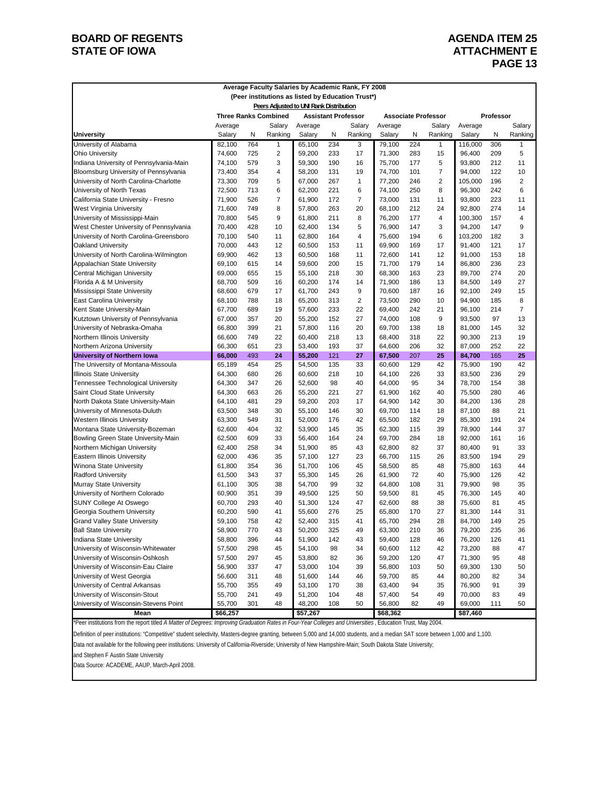### **BOARD OF REGENTS AGENDA ITEM 25 STATE OF IOWA** ATTACHMENT E

# **PAGE 13**

|                                         |          |     | Average Faculty Salaries by Academic Rank, FY 2008 |          |     |                            |          |     |                            |          |           |                |
|-----------------------------------------|----------|-----|----------------------------------------------------|----------|-----|----------------------------|----------|-----|----------------------------|----------|-----------|----------------|
|                                         |          |     | (Peer institutions as listed by Education Trust*)  |          |     |                            |          |     |                            |          |           |                |
|                                         |          |     | Peers Adjusted to UNI Rank Distribution            |          |     |                            |          |     |                            |          |           |                |
|                                         |          |     | <b>Three Ranks Combined</b>                        |          |     | <b>Assistant Professor</b> |          |     | <b>Associate Professor</b> |          | Professor |                |
|                                         | Average  |     | Salary                                             | Average  |     | Salary                     | Average  |     | Salary                     | Average  |           | Salary         |
| <b>University</b>                       | Salary   | N   | Ranking                                            | Salary   | N   | Ranking                    | Salary   | N   | Ranking                    | Salary   | Ν         | Ranking        |
| University of Alabama                   | 82,100   | 764 | 1                                                  | 65,100   | 234 | 3                          | 79,100   | 224 | 1                          | 116,000  | 306       | 1              |
| <b>Ohio University</b>                  | 74,600   | 725 | 2                                                  | 59,200   | 233 | 17                         | 71.300   | 283 | 15                         | 96,400   | 209       | 5              |
| Indiana University of Pennsylvania-Main | 74,100   | 579 | 3                                                  | 59,300   | 190 | 16                         | 75,700   | 177 | 5                          | 93,800   | 212       | 11             |
| Bloomsburg University of Pennsylvania   | 73,400   | 354 | 4                                                  | 58,200   | 131 | 19                         | 74,700   | 101 | 7                          | 94,000   | 122       | 10             |
| University of North Carolina-Charlotte  | 73,300   | 709 | 5                                                  | 67,000   | 267 | $\mathbf{1}$               | 77,200   | 246 | 2                          | 105,000  | 196       | 2              |
| University of North Texas               | 72,500   | 713 | 6                                                  | 62,200   | 221 | 6                          | 74,100   | 250 | 8                          | 96,300   | 242       | 6              |
| California State University - Fresno    | 71,900   | 526 | $\overline{7}$                                     | 61,900   | 172 | $\overline{7}$             | 73,000   | 131 | 11                         | 93,800   | 223       | 11             |
| West Virginia University                | 71,600   | 749 | 8                                                  | 57,800   | 263 | 20                         | 68,100   | 212 | 24                         | 92,800   | 274       | 14             |
| University of Mississippi-Main          | 70,800   | 545 | 9                                                  | 61,800   | 211 | 8                          | 76,200   | 177 | 4                          | 100,300  | 157       | 4              |
| West Chester University of Pennsylvania | 70,400   | 428 | 10                                                 | 62,400   | 134 | 5                          | 76,900   | 147 | 3                          | 94,200   | 147       | 9              |
| University of North Carolina-Greensboro | 70,100   | 540 | 11                                                 | 62,800   | 164 | 4                          | 75,600   | 194 | 6                          | 103,200  | 182       | 3              |
| Oakland University                      | 70,000   | 443 | 12                                                 | 60,500   | 153 | 11                         | 69,900   | 169 | 17                         | 91,400   | 121       | 17             |
| University of North Carolina-Wilmington | 69,900   | 462 | 13                                                 | 60,500   | 168 | 11                         | 72,600   | 141 | 12                         | 91,000   | 153       | 18             |
| Appalachian State University            | 69,100   | 615 | 14                                                 | 59,600   | 200 | 15                         | 71,700   | 179 | 14                         | 86,800   | 236       | 23             |
| Central Michigan University             | 69,000   | 655 | 15                                                 | 55,100   | 218 | 30                         | 68,300   | 163 | 23                         | 89,700   | 274       | 20             |
| Florida A & M University                | 68,700   | 509 | 16                                                 | 60,200   | 174 | 14                         | 71,900   | 186 | 13                         | 84.500   | 149       | 27             |
| Mississippi State University            | 68,600   | 679 | 17                                                 | 61,700   | 243 | 9                          | 70,600   | 187 | 16                         | 92,100   | 249       | 15             |
| <b>East Carolina University</b>         | 68,100   | 788 | 18                                                 | 65,200   | 313 | 2                          | 73,500   | 290 | 10                         | 94,900   | 185       | 8              |
| Kent State University-Main              | 67,700   | 689 | 19                                                 | 57,600   | 233 | 22                         | 69,400   | 242 | 21                         | 96,100   | 214       | $\overline{7}$ |
| Kutztown University of Pennsylvania     | 67,000   | 357 | 20                                                 | 55,200   | 152 | 27                         | 74,000   | 108 | 9                          | 93,500   | 97        | 13             |
| University of Nebraska-Omaha            | 66,800   | 399 | 21                                                 | 57,800   | 116 | 20                         | 69,700   | 138 | 18                         | 81,000   | 145       | 32             |
| Northern Illinois University            | 66,600   | 749 | 22                                                 | 60,400   | 218 | 13                         | 68,400   | 318 | 22                         | 90,300   | 213       | 19             |
| Northern Arizona University             | 66,300   | 651 | 23                                                 | 53,400   | 193 | 37                         | 64,600   | 206 | 32                         | 87,000   | 252       | 22             |
| <b>University of Northern Iowa</b>      | 66,000   | 493 | 24                                                 | 55,200   | 121 | 27                         | 67,500   | 207 | 25                         | 84,700   | 165       | 25             |
| The University of Montana-Missoula      | 65,189   | 454 | 25                                                 | 54,500   | 135 | 33                         | 60,600   | 129 | 42                         | 75,900   | 190       | 42             |
| <b>Illinois State University</b>        | 64,300   | 680 | 26                                                 | 60,600   | 218 | 10                         | 64,100   | 226 | 33                         | 83,500   | 236       | 29             |
| Tennessee Technological University      | 64,300   | 347 | 26                                                 | 52,600   | 98  | 40                         | 64,000   | 95  | 34                         | 78,700   | 154       | 38             |
| Saint Cloud State University            | 64,300   | 663 | 26                                                 | 55,200   | 221 | 27                         | 61,900   | 162 | 40                         | 75,500   | 280       | 46             |
| North Dakota State University-Main      | 64,100   | 481 | 29                                                 | 59,200   | 203 | 17                         | 64,900   | 142 | 30                         | 84,200   | 136       | 28             |
| University of Minnesota-Duluth          | 63,500   | 348 | 30                                                 | 55,100   | 146 | 30                         | 69,700   | 114 | 18                         | 87,100   | 88        | 21             |
| Western Illinois University             | 63,300   | 549 | 31                                                 | 52,000   | 176 | 42                         | 65,500   | 182 | 29                         | 85,300   | 191       | 24             |
| Montana State University-Bozeman        | 62,600   | 404 | 32                                                 | 53,900   | 145 | 35                         | 62,300   | 115 | 39                         | 78,900   | 144       | 37             |
| Bowling Green State University-Main     | 62,500   | 609 | 33                                                 | 56,400   | 164 | 24                         | 69,700   | 284 | 18                         | 92,000   | 161       | 16             |
| Northern Michigan University            | 62,400   | 258 | 34                                                 | 51,900   | 85  | 43                         | 62,800   | 82  | 37                         | 80,400   | 91        | 33             |
| Eastern Illinois University             | 62,000   | 436 | 35                                                 | 57,100   | 127 | 23                         | 66,700   | 115 | 26                         | 83,500   | 194       | 29             |
| Winona State University                 | 61,800   | 354 | 36                                                 | 51,700   | 106 | 45                         | 58,500   | 85  | 48                         | 75,800   | 163       | 44             |
| <b>Radford University</b>               | 61,500   | 343 | 37                                                 | 55,300   | 145 | 26                         | 61,900   | 72  | 40                         | 75,900   | 126       | 42             |
| Murray State University                 | 61,100   | 305 | 38                                                 | 54,700   | 99  | 32                         | 64,800   | 108 | 31                         | 79,900   | 98        | 35             |
| University of Northern Colorado         | 60,900   | 351 | 39                                                 | 49,500   | 125 | 50                         | 59,500   | 81  | 45                         | 76.300   | 145       | 40             |
| SUNY College At Oswego                  | 60,700   | 293 | 40                                                 | 51,300   | 124 | 47                         | 62,600   | 88  | 38                         | 75,600   | 81        | 45             |
| Georgia Southern University             | 60,200   | 590 | 41                                                 | 55,600   | 276 | 25                         | 65,800   | 170 | 27                         | 81,300   | 144       | 31             |
| <b>Grand Valley State University</b>    | 59,100   | 758 | 42                                                 | 52,400   | 315 | 41                         | 65,700   | 294 | 28                         | 84,700   | 149       | 25             |
| <b>Ball State University</b>            | 58,900   | 770 | 43                                                 | 50,200   | 325 | 49                         | 63,300   | 210 | 36                         | 79,200   | 235       | 36             |
| Indiana State University                | 58,800   | 396 | 44                                                 | 51,900   | 142 | 43                         | 59,400   | 128 | 46                         | 76,200   | 126       | 41             |
| University of Wisconsin-Whitewater      | 57,500   | 298 | 45                                                 | 54,100   | 98  | 34                         | 60,600   | 112 | 42                         | 73,200   | 88        | 47             |
| University of Wisconsin-Oshkosh         | 57,500   | 297 | 45                                                 | 53,800   | 82  | 36                         | 59,200   | 120 | 47                         | 71,300   | 95        | 48             |
| University of Wisconsin-Eau Claire      | 56,900   | 337 | 47                                                 | 53,000   | 104 | 39                         | 56,800   | 103 | 50                         | 69,300   | 130       | 50             |
| University of West Georgia              | 56,600   | 311 | 48                                                 | 51,600   | 144 | 46                         | 59,700   | 85  | 44                         | 80,200   | 82        | 34             |
| University of Central Arkansas          | 55,700   | 355 | 49                                                 | 53,100   | 170 | 38                         | 63,400   | 94  | 35                         | 76,900   | 91        | 39             |
| University of Wisconsin-Stout           | 55,700   | 241 | 49                                                 | 51,200   | 104 | 48                         | 57,400   | 54  | 49                         | 70,000   | 83        | 49             |
| University of Wisconsin-Stevens Point   | 55,700   | 301 | 48                                                 | 48,200   | 108 | 50                         | 56,800   | 82  | 49                         | 69,000   | 111       | 50             |
| Mean                                    | \$66,257 |     |                                                    | \$57,267 |     |                            | \$68,362 |     |                            | \$87,460 |           |                |

\*Peer institutions from the report titled *A Matter of Degrees: Improving Graduation Rates in Four-Year Colleges and Universities* , Education Trust, May 2004.

Definition of peer institutions: "Competitive" student selectivity, Masters-degree granting, between 5,000 and 14,000 students, and a median SAT score between 1,000 and 1,100.

Data not available for the following peer institutions: University of California-Riverside; University of New Hampshire-Main; South Dakota State University;

and Stephen F Austin State University

Data Source: ACADEME, AAUP, March-April 2008.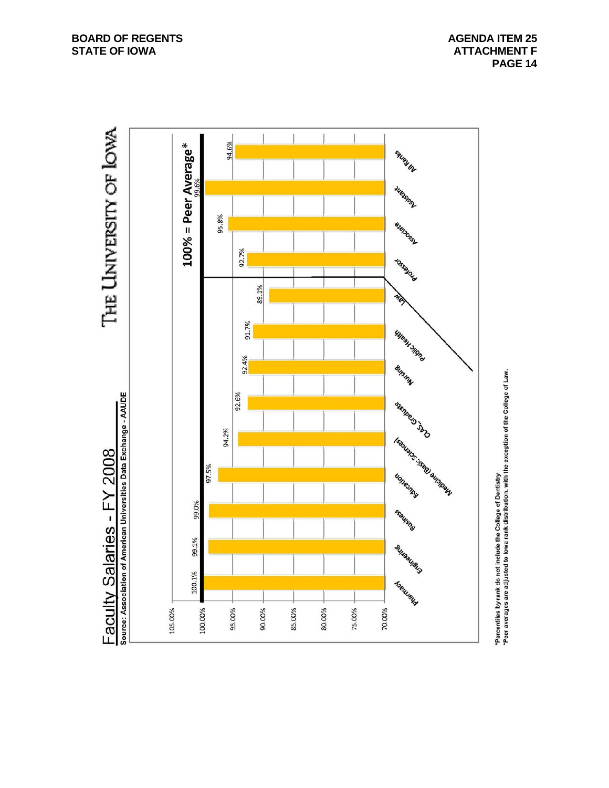**PAGE 14** 

THE LINIVERSITY OF LOWA Source: Association of American Universities Data Exchange - AAUDE Faculty Salaries - FY 2008



'Percentiles by rank do not include the College of Dentistry<br>'Peer averages are adjusted to lowa rank distribution. with the exception of the College of Law.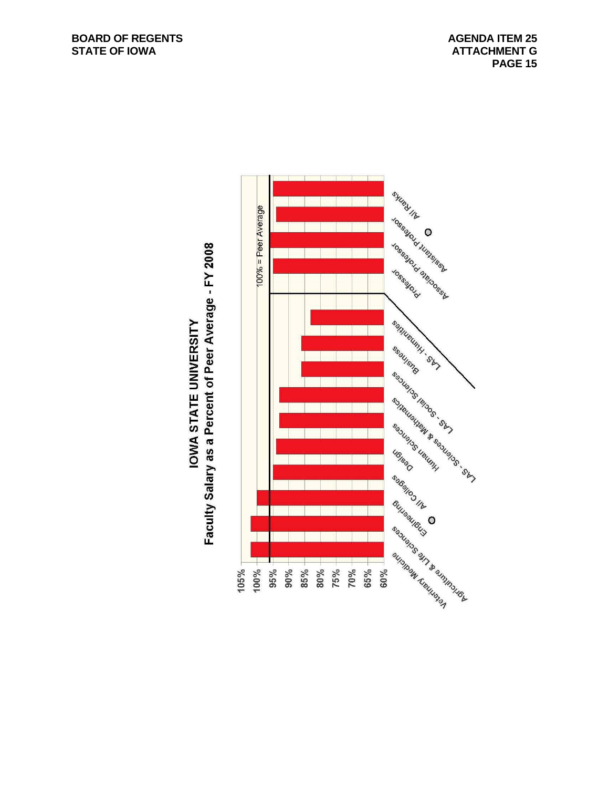

# Faculty Salary as a Percent of Peer Average - FY 2008 **IOWA STATE UNIVERSITY**

 **PAGE 15**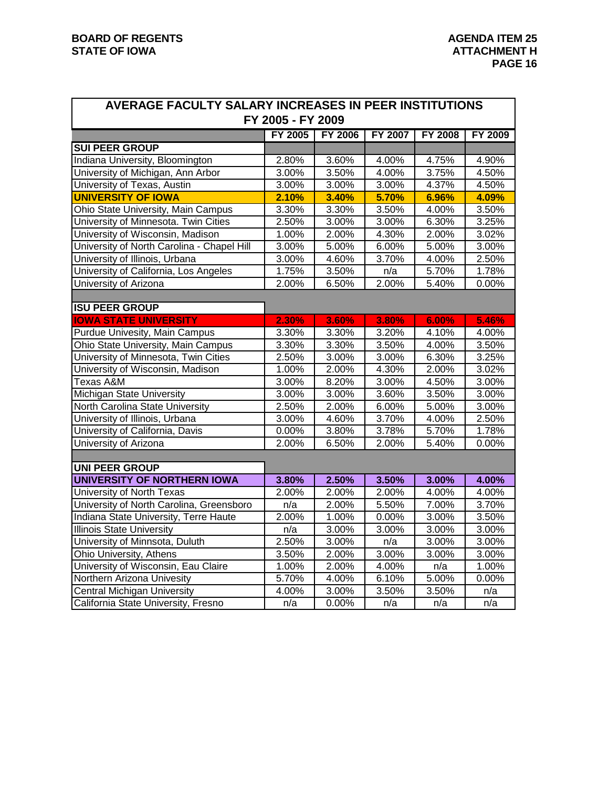| AVERAGE FACULTY SALARY INCREASES IN PEER INSTITUTIONS |                   |                |                |                     |                |
|-------------------------------------------------------|-------------------|----------------|----------------|---------------------|----------------|
|                                                       | FY 2005 - FY 2009 |                |                |                     |                |
|                                                       | FY 2005           | <b>FY 2006</b> | <b>FY 2007</b> | <b>FY 2008</b>      | <b>FY 2009</b> |
| <b>SUI PEER GROUP</b>                                 |                   |                |                |                     |                |
| Indiana University, Bloomington                       | 2.80%             | 3.60%          | 4.00%          | 4.75%               | 4.90%          |
| University of Michigan, Ann Arbor                     | 3.00%             | 3.50%          | 4.00%          | 3.75%               | 4.50%          |
| University of Texas, Austin                           | 3.00%             | 3.00%          | 3.00%          | 4.37%               | 4.50%          |
| <b>UNIVERSITY OF IOWA</b>                             | 2.10%             | 3.40%          | 5.70%          | 6.96%               | 4.09%          |
| Ohio State University, Main Campus                    | 3.30%             | 3.30%          | 3.50%          | 4.00%               | 3.50%          |
| University of Minnesota. Twin Cities                  | 2.50%             | 3.00%          | 3.00%          | 6.30%               | 3.25%          |
| University of Wisconsin, Madison                      | 1.00%             | 2.00%          | 4.30%          | 2.00%               | 3.02%          |
| University of North Carolina - Chapel Hill            | 3.00%             | 5.00%          | 6.00%          | 5.00%               | 3.00%          |
| University of Illinois, Urbana                        | 3.00%             | 4.60%          | 3.70%          | 4.00%               | 2.50%          |
| University of California, Los Angeles                 | 1.75%             | 3.50%          | n/a            | 5.70%               | 1.78%          |
| University of Arizona                                 | 2.00%             | 6.50%          | 2.00%          | 5.40%               | 0.00%          |
|                                                       |                   |                |                |                     |                |
| <b>ISU PEER GROUP</b>                                 |                   |                |                |                     |                |
| <b>IOWA STATE UNIVERSITY</b>                          | 2.30%             | 3.60%          | 3.80%          | 6.00%               | 5.46%          |
| Purdue Univesity, Main Campus                         | 3.30%             | 3.30%          | 3.20%          | 4.10%               | 4.00%          |
| Ohio State University, Main Campus                    | 3.30%             | 3.30%          | 3.50%          | 4.00%               | 3.50%          |
| University of Minnesota, Twin Cities                  | 2.50%             | 3.00%          | 3.00%          | 6.30%               | 3.25%          |
| University of Wisconsin, Madison                      | 1.00%             | 2.00%          | 4.30%          | 2.00%               | 3.02%          |
| <b>Texas A&amp;M</b>                                  | 3.00%             | 8.20%          | 3.00%          | 4.50%               | 3.00%          |
| Michigan State University                             | 3.00%             | 3.00%          | 3.60%          | 3.50%               | 3.00%          |
| North Carolina State University                       | 2.50%             | 2.00%          | 6.00%          | 5.00%               | 3.00%          |
| University of Illinois, Urbana                        | 3.00%             | 4.60%          | 3.70%          | 4.00%               | 2.50%          |
| University of California, Davis                       | 0.00%             | 3.80%          | 3.78%          | 5.70%               | 1.78%          |
| University of Arizona                                 | 2.00%             | 6.50%          | 2.00%          | 5.40%               | 0.00%          |
|                                                       |                   |                |                |                     |                |
| <b>UNI PEER GROUP</b>                                 |                   |                |                |                     |                |
| <b>UNIVERSITY OF NORTHERN IOWA</b>                    | 3.80%             | 2.50%          | 3.50%          | 3.00%               | 4.00%          |
| University of North Texas                             | 2.00%             | 2.00%          | 2.00%          | 4.00%               | 4.00%          |
| University of North Carolina, Greensboro              | n/a               | 2.00%          | 5.50%          | 7.00%               | 3.70%          |
| Indiana State University, Terre Haute                 | 2.00%             | 1.00%          | 0.00%          | 3.00%               | 3.50%          |
| <b>Illinois State University</b>                      | n/a               | 3.00%          | 3.00%          | 3.00%               | 3.00%          |
| University of Minnsota, Duluth                        | 2.50%             | 3.00%          | n/a            | 3.00%               | 3.00%          |
| Ohio University, Athens                               | 3.50%             | 2.00%          | 3.00%          | 3.00%               | 3.00%          |
| University of Wisconsin, Eau Claire                   | 1.00%             | 2.00%          | 4.00%          | n/a                 | 1.00%          |
| Northern Arizona Univesity                            | 5.70%             | 4.00%          | 6.10%          | $\overline{5.00\%}$ | 0.00%          |
| <b>Central Michigan University</b>                    | 4.00%             | 3.00%          | 3.50%          | 3.50%               | n/a            |
| California State University, Fresno                   | n/a               | 0.00%          | n/a            | n/a                 | n/a            |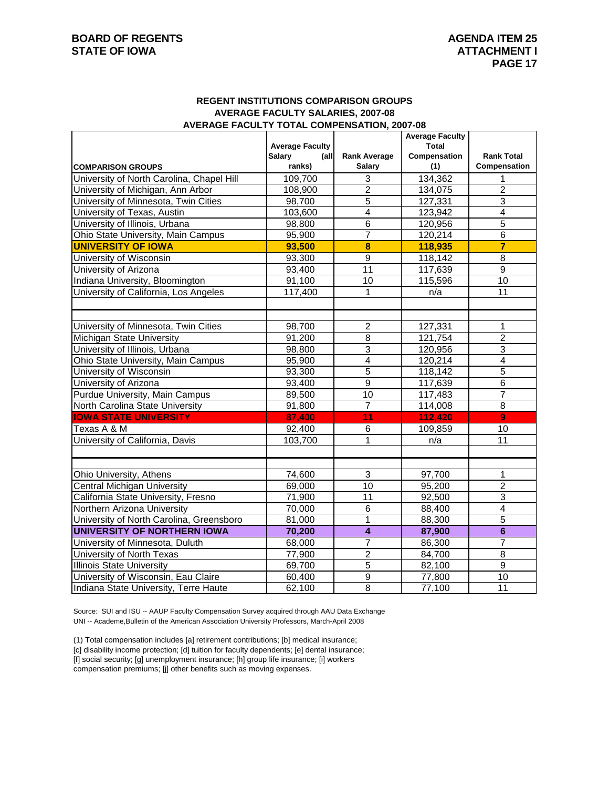### **REGENT INSTITUTIONS COMPARISON GROUPS AVERAGE FACULTY SALARIES, 2007-08 AVERAGE FACULTY TOTAL COMPENSATION, 2007-08**

|                                           |                                          |                     | <b>Average Faculty</b> |                         |
|-------------------------------------------|------------------------------------------|---------------------|------------------------|-------------------------|
|                                           | <b>Average Faculty</b><br>Salary<br>(all | <b>Rank Average</b> | Total<br>Compensation  | <b>Rank Total</b>       |
| <b>COMPARISON GROUPS</b>                  | ranks)                                   | <b>Salary</b>       | (1)                    | Compensation            |
| University of North Carolina, Chapel Hill | 109,700                                  | 3                   | 134,362                | $\mathbf 1$             |
| University of Michigan, Ann Arbor         | 108,900                                  | $\overline{2}$      | 134,075                | $\overline{2}$          |
| University of Minnesota, Twin Cities      | 98,700                                   | $\overline{5}$      | 127,331                | $\overline{3}$          |
| University of Texas, Austin               | 103,600                                  | $\overline{4}$      | 123,942                | $\overline{4}$          |
| University of Illinois, Urbana            | 98,800                                   | 6                   | 120,956                | 5                       |
| Ohio State University, Main Campus        | 95,900                                   | $\overline{7}$      | 120,214                | $\overline{6}$          |
| <b>UNIVERSITY OF IOWA</b>                 | 93,500                                   | 8                   | 118,935                | $\overline{\mathbf{7}}$ |
| University of Wisconsin                   | 93,300                                   | $\overline{9}$      | 118,142                | 8                       |
| University of Arizona                     | 93,400                                   | $\overline{11}$     | 117,639                | $\overline{9}$          |
| Indiana University, Bloomington           | 91,100                                   | 10                  | 115,596                | 10                      |
| University of California, Los Angeles     | 117,400                                  | 1                   | n/a                    | 11                      |
|                                           |                                          |                     |                        |                         |
|                                           |                                          |                     |                        |                         |
| University of Minnesota, Twin Cities      | 98,700                                   | $\overline{c}$      | 127,331                | 1                       |
| <b>Michigan State University</b>          | 91,200                                   | $\overline{8}$      | 121,754                | $\overline{2}$          |
| University of Illinois, Urbana            | 98,800                                   | 3                   | 120,956                | 3                       |
| Ohio State University, Main Campus        | 95,900                                   | $\overline{4}$      | 120,214                | $\overline{4}$          |
| University of Wisconsin                   | 93,300                                   | $\overline{5}$      | 118,142                | $\overline{5}$          |
| University of Arizona                     | 93,400                                   | $\overline{9}$      | 117,639                | $\overline{6}$          |
| Purdue University, Main Campus            | 89,500                                   | 10                  | 117,483                | $\overline{7}$          |
| North Carolina State University           | 91,800                                   | $\overline{7}$      | 114,008                | 8                       |
| <b>IOWA STATE UNIVERSITY</b>              | 87,400                                   | 11                  | 112,420                | $\overline{9}$          |
| Texas A & M                               | 92,400                                   | 6                   | 109,859                | 10                      |
| University of California, Davis           | 103,700                                  | $\overline{1}$      | n/a                    | $\overline{11}$         |
|                                           |                                          |                     |                        |                         |
|                                           |                                          |                     |                        |                         |
| Ohio University, Athens                   | 74,600                                   | 3                   | 97,700                 | $\mathbf{1}$            |
| <b>Central Michigan University</b>        | 69,000                                   | 10                  | 95,200                 | $\overline{c}$          |
| California State University, Fresno       | 71,900                                   | $\overline{11}$     | 92,500                 | $\overline{3}$          |
| Northern Arizona University               | 70,000                                   | $\overline{6}$      | 88,400                 | $\overline{4}$          |
| University of North Carolina, Greensboro  | 81,000                                   | 1                   | 88,300                 | $\overline{5}$          |
| UNIVERSITY OF NORTHERN IOWA               | 70,200                                   | $\overline{4}$      | 87,900                 | $6\phantom{1}6$         |
| University of Minnesota, Duluth           | 68,000                                   | $\overline{7}$      | 86,300                 | $\overline{7}$          |
| University of North Texas                 | 77,900                                   | $\overline{2}$      | 84,700                 | $\overline{8}$          |
| <b>Illinois State University</b>          | 69,700                                   | 5                   | 82,100                 | $\overline{9}$          |
| University of Wisconsin, Eau Claire       | 60,400                                   | $\overline{9}$      | 77,800                 | 10                      |
| Indiana State University, Terre Haute     | 62,100                                   | $\overline{8}$      | 77,100                 | 11                      |

Source: SUI and ISU -- AAUP Faculty Compensation Survey acquired through AAU Data Exchange UNI -- Academe,Bulletin of the American Association University Professors, March-April 2008

(1) Total compensation includes [a] retirement contributions; [b] medical insurance;

[c] disability income protection; [d] tuition for faculty dependents; [e] dental insurance;

[f] social security; [g] unemployment insurance; [h] group life insurance; [i] workers

compensation premiums; [j] other benefits such as moving expenses.